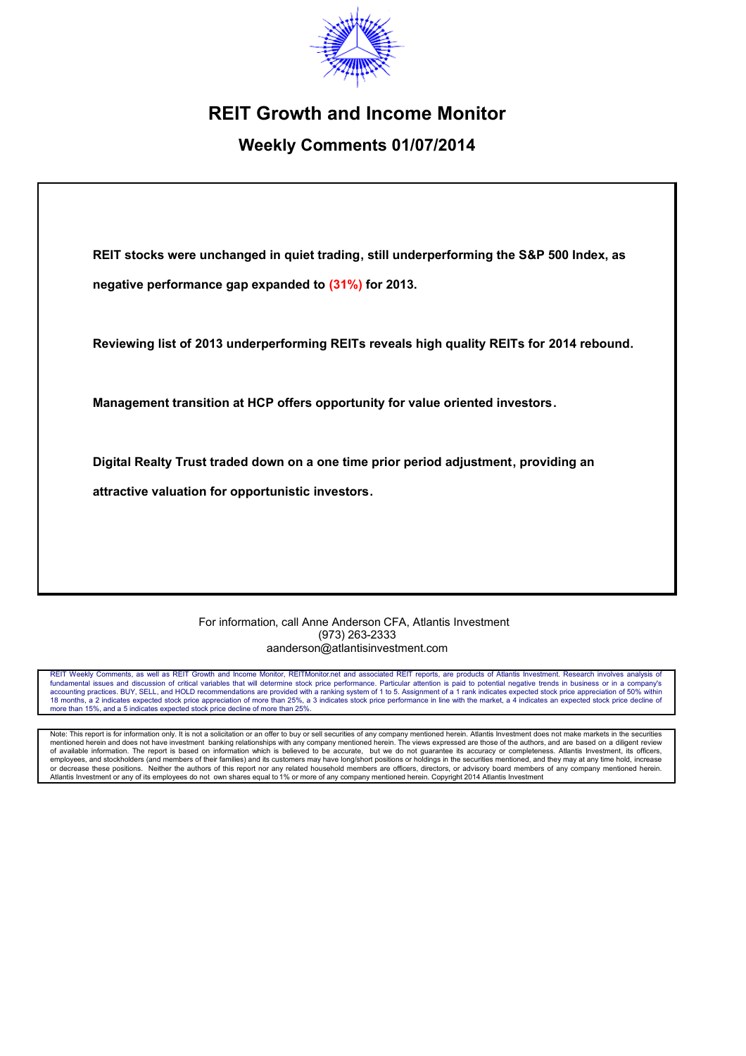

# **REIT Growth and Income Monitor**

# **Weekly Comments 01/07/2014**

**REIT stocks were unchanged in quiet trading, still underperforming the S&P 500 Index, as negative performance gap expanded to (31%) for 2013.** 

**Reviewing list of 2013 underperforming REITs reveals high quality REITs for 2014 rebound.**

**Management transition at HCP offers opportunity for value oriented investors.**

**Digital Realty Trust traded down on a one time prior period adjustment, providing an** 

**attractive valuation for opportunistic investors.**

For information, call Anne Anderson CFA, Atlantis Investment (973) 263-2333 aanderson@atlantisinvestment.com

REIT Weekly Comments, as well as REIT Growth and Income Monitor, REITMonitor.net and associated REIT reports, are products of Atlantis Investment. Research involves analysis of<br>fundamental issues and discussion of critical accounting practices. BUY, SELL, and HOLD recommendations are provided with a ranking system of 1 to 5. Assignment of a 1 rank indicates expected stock price appreciation of 50% within 18 months, a 2 indicates expected stock price appreciation of more than 25%, a 3 indicates stock price performance in line with the market, a 4 indicates an expected stock price decline of more than 15%, and a 5 indicates expected stock price decline of more than 25%.

Note: This report is for information only. It is not a solicitation or an offer to buy or sell securities of any company mentioned herein. Atlantis Investment does not make markets in the securities mentioned herein and does not have investment banking relationships with any company mentioned herein. The views expressed are those of the authors, and are based on a diligent review of available information. The report is based on information which is believed to be accurate, but we do not guarantee its accuracy or completeness. Atlantis Investment, its officers,<br>employees, and stockholders (and membe or decrease these positions. Neither the authors of this report nor any related household members are officers, directors, or advisory board members of any company mentioned herein. Atlantis Investment or any of its employees do not own shares equal to 1% or more of any company mentioned herein. Copyright 2014 Atlantis Investment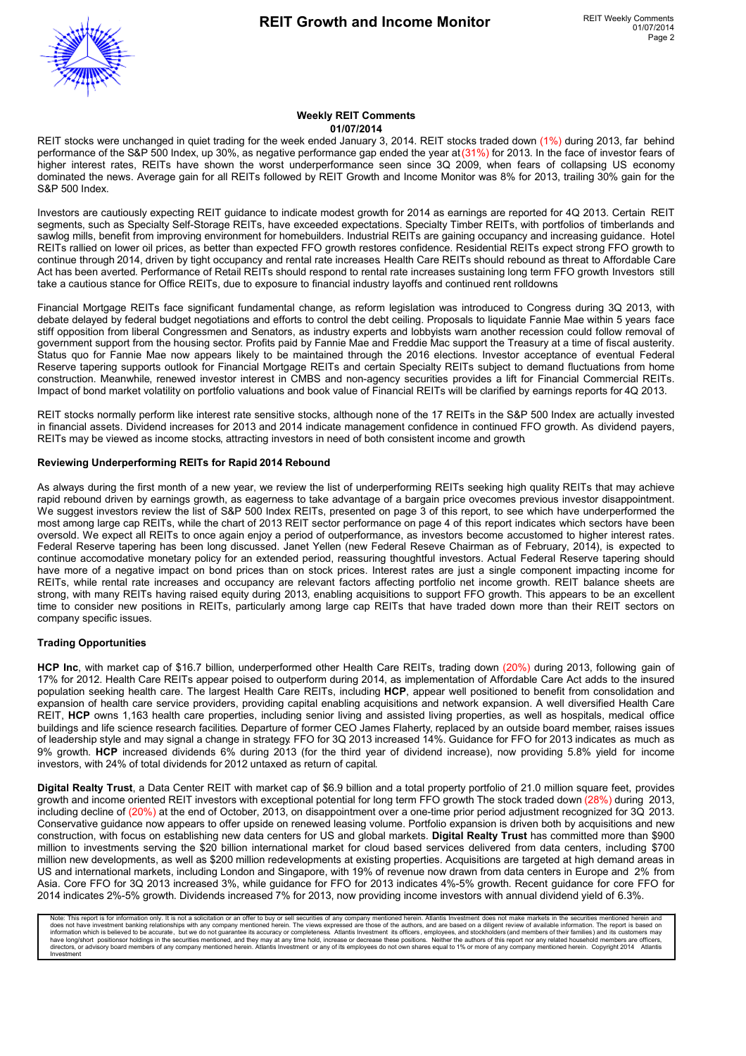

#### **Weekly REIT Comments 01/07/2014**

REIT stocks were unchanged in quiet trading for the week ended January 3, 2014. REIT stocks traded down (1%) during 2013, far behind performance of the S&P 500 Index, up 30%, as negative performance gap ended the year at (31%) for 2013. In the face of investor fears of higher interest rates, REITs have shown the worst underperformance seen since 3Q 2009, when fears of collapsing US economy dominated the news. Average gain for all REITs followed by REIT Growth and Income Monitor was 8% for 2013, trailing 30% gain for the S&P 500 Index.

Investors are cautiously expecting REIT guidance to indicate modest growth for 2014 as earnings are reported for 4Q 2013. Certain REIT segments, such as Specialty Self-Storage REITs, have exceeded expectations. Specialty Timber REITs, with portfolios of timberlands and sawlog mills, benefit from improving environment for homebuilders. Industrial REITs are gaining occupancy and increasing quidance. Hotel REITs rallied on lower oil prices, as better than expected FFO growth restores confidence. Residential REITs expect strong FFO growth to continue through 2014, driven by tight occupancy and rental rate increases. Health Care REITs should rebound as threat to Affordable Care Act has been averted. Performance of Retail REITs should respond to rental rate increases sustaining long term FFO growth Investors still take a cautious stance for Office REITs, due to exposure to financial industry layoffs and continued rent rolldowns.

Financial Mortgage REITs face significant fundamental change, as reform legislation was introduced to Congress during 3Q 2013, with debate delayed by federal budget negotiations and efforts to control the debt ceiling. Proposals to liquidate Fannie Mae within 5 years face stiff opposition from liberal Congressmen and Senators, as industry experts and lobbyists warn another recession could follow removal of government support from the housing sector. Profits paid by Fannie Mae and Freddie Mac support the Treasury at a time of fiscal austerity. Status quo for Fannie Mae now appears likely to be maintained through the 2016 elections. Investor acceptance of eventual Federal Reserve tapering supports outlook for Financial Mortgage REITs and certain Specialty REITs subject to demand fluctuations from home construction. Meanwhile, renewed investor interest in CMBS and non-agency securities provides a lift for Financial Commercial REITs. Impact of bond market volatility on portfolio valuations and book value of Financial REITs will be clarified by earnings reports for 4Q 2013.

REIT stocks normally perform like interest rate sensitive stocks, although none of the 17 REITs in the S&P 500 Index are actually invested in financial assets. Dividend increases for 2013 and 2014 indicate management confidence in continued FFO growth. As dividend payers, REITs may be viewed as income stocks, attracting investors in need of both consistent income and growth.

#### **Reviewing Underperforming REITs for Rapid 2014 Rebound**

As always during the first month of a new year, we review the list of underperforming REITs seeking high quality REITs that may achieve rapid rebound driven by earnings growth, as eagerness to take advantage of a bargain price ovecomes previous investor disappointment. We suggest investors review the list of S&P 500 Index REITs, presented on page 3 of this report, to see which have underperformed the most among large cap REITs, while the chart of 2013 REIT sector performance on page 4 of this report indicates which sectors have been oversold. We expect all REITs to once again enjoy a period of outperformance, as investors become accustomed to higher interest rates. Federal Reserve tapering has been long discussed. Janet Yellen (new Federal Reseve Chairman as of February, 2014), is expected to continue accomodative monetary policy for an extended period, reassuring thoughtful investors. Actual Federal Reserve tapering should have more of a negative impact on bond prices than on stock prices. Interest rates are just a single component impacting income for REITs, while rental rate increases and occupancy are relevant factors affecting portfolio net income growth. REIT balance sheets are strong, with many REITs having raised equity during 2013, enabling acquisitions to support FFO growth. This appears to be an excellent time to consider new positions in REITs, particularly among large cap REITs that have traded down more than their REIT sectors on company specific issues.

#### **Trading Opportunities**

**HCP Inc**, with market cap of \$16.7 billion, underperformed other Health Care REITs, trading down (20%) during 2013, following gain of 17% for 2012. Health Care REITs appear poised to outperform during 2014, as implementation of Affordable Care Act adds to the insured population seeking health care. The largest Health Care REITs, including **HCP**, appear well positioned to benefit from consolidation and expansion of health care service providers, providing capital enabling acquisitions and network expansion. A well diversified Health Care REIT, **HCP** owns 1,163 health care properties, including senior living and assisted living properties, as well as hospitals, medical office buildings and life science research facilities. Departure of former CEO James Flaherty, replaced by an outside board member, raises issues of leadership style and may signal a change in strategy. FFO for 3Q 2013 increased 14%. Guidance for FFO for 2013 indicates as much as 9% growth. **HCP** increased dividends 6% during 2013 (for the third year of dividend increase), now providing 5.8% yield for income investors, with 24% of total dividends for 2012 untaxed as return of capital.

**Digital Realty Trust**, a Data Center REIT with market cap of \$6.9 billion and a total property portfolio of 21.0 million square feet, provides growth and income oriented REIT investors with exceptional potential for long term FFO growth The stock traded down (28%) during 2013, including decline of (20%) at the end of October, 2013, on disappointment over a one-time prior period adjustment recognized for 3Q 2013. Conservative guidance now appears to offer upside on renewed leasing volume. Portfolio expansion is driven both by acquisitions and new construction, with focus on establishing new data centers for US and global markets. **Digital Realty Trust** has committed more than \$900 million to investments serving the \$20 billion international market for cloud based services delivered from data centers, including \$700 million new developments, as well as \$200 million redevelopments at existing properties. Acquisitions are targeted at high demand areas in US and international markets, including London and Singapore, with 19% of revenue now drawn from data centers in Europe and 2% from Asia. Core FFO for 3Q 2013 increased 3%, while guidance for FFO for 2013 indicates 4%-5% growth. Recent guidance for core FFO for 2014 indicates 2%-5% growth. Dividends increased 7% for 2013, now providing income investors with annual dividend yield of 6.3%.

Note: This report is for information only. It is not a solicitation or an offer to buy or sell securities of any company mentioned herein. Atlantis Investment does not make markets in the securities mentioned herein and do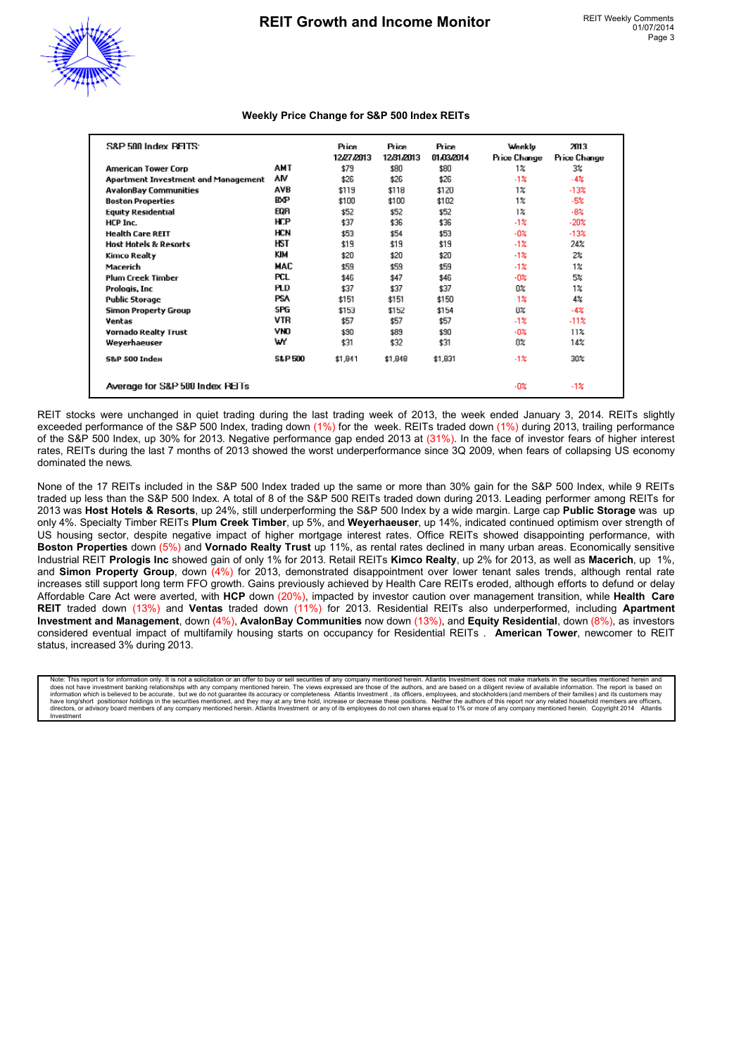

### **Weekly Price Change for S&P 500 Index REITs**

| S&P 500 Index PELTS:                |                   | Price<br>12/27/2013 | <b>Price</b><br>12/31/2013 | Price<br>01.03/2014 | Weekly<br>Price Change | 2013<br>Price Change |
|-------------------------------------|-------------------|---------------------|----------------------------|---------------------|------------------------|----------------------|
| <b>American Tower Corp</b>          | AMT               | \$79                | \$80                       | \$80                | $1\%$                  | 3%                   |
| Apartment Investment and Management | ٨M                | \$26                | \$26                       | \$26                | $-1%$                  | $-4%$                |
| <b>AvalonBay Communities</b>        | AVB               | \$119               | \$118                      | \$120               | $1\%$                  | $-13%$               |
| <b>Boston Properties</b>            | <b>BXP</b>        | \$100               | \$100                      | \$102               | $1\%$                  | $-5%$                |
| <b>Equity Residential</b>           | EQR               | \$52                | \$52                       | \$52                | $1\%$                  | $-8%$                |
| HCP Inc.                            | <b>HCP</b>        | \$37                | \$36                       | \$36                | $-12$                  | $-20%$               |
| <b>Health Care REIT</b>             | HCN               | \$53                | \$54                       | \$53                | $-02$                  | $-13x$               |
| <b>Host Hotels &amp; Resorts</b>    | HST               | \$19                | \$19                       | \$19                | $-1%$                  | 24%                  |
| Kimco Realty                        | KIM               | \$20                | \$20                       | \$20                | $-1%$                  | 2%                   |
| Macerich                            | MAC               | \$59                | \$59                       | \$59                | $-1%$                  | $1\%$                |
| <b>Plum Creek Timber</b>            | <b>PCL</b>        | \$46                | \$47                       | \$46                | $-0.25$                | 5%                   |
| Prologis, Inc.                      | <b>PLD</b>        | \$37                | \$37                       | \$37                | 0%                     | 1%                   |
| <b>Public Storage</b>               | <b>PSA</b>        | \$151               | \$151                      | \$150               | -1%                    | 4%                   |
| Simon Property Group                | SPG               | \$153               | \$152                      | \$154               | 0%                     | $-4%$                |
| Ventas                              | VTR               | \$57                | \$57                       | \$57                | $-1%$                  | $-11%$               |
| <b>Vornado Realty Trust</b>         | <b>VNO</b>        | \$90                | \$89                       | \$90                | $-02$                  | 11%                  |
| Weyerhaeuser                        | w                 | \$31                | \$32                       | \$31                | $0\%$                  | 14%                  |
| <b>S&amp;P 500 Index</b>            | <b>S&amp;P500</b> | \$1,841             | \$1,848                    | \$1,831             | $-12$                  | 30%                  |
| Average for S&P 500 Index PEITs     |                   |                     |                            |                     | -0%                    | $-1%$                |

REIT stocks were unchanged in quiet trading during the last trading week of 2013, the week ended January 3, 2014. REITs slightly exceeded performance of the S&P 500 Index, trading down (1%) for the week. REITs traded down (1%) during 2013, trailing performance of the S&P 500 Index, up 30% for 2013. Negative performance gap ended 2013 at (31%). In the face of investor fears of higher interest rates, REITs during the last 7 months of 2013 showed the worst underperformance since 3Q 2009, when fears of collapsing US economy dominated the news.

None of the 17 REITs included in the S&P 500 Index traded up the same or more than 30% gain for the S&P 500 Index, while 9 REITs traded up less than the S&P 500 Index. A total of 8 of the S&P 500 REITs traded down during 2013. Leading performer among REITs for 2013 was **Host Hotels & Resorts**, up 24%, still underperforming the S&P 500 Index by a wide margin. Large cap **Public Storage** was up only 4%. Specialty Timber REITs **Plum Creek Timber**, up 5%, and **Weyerhaeuser**, up 14%, indicated continued optimism over strength of US housing sector, despite negative impact of higher mortgage interest rates. Office REITs showed disappointing performance, with **Boston Properties** down (5%) and **Vornado Realty Trust** up 11%, as rental rates declined in many urban areas. Economically sensitive Industrial REIT **Prologis Inc** showed gain of only 1% for 2013. Retail REITs **Kimco Realty**, up 2% for 2013, as well as **Macerich**, up 1%, and **Simon Property Group**, down (4%) for 2013, demonstrated disappointment over lower tenant sales trends, although rental rate increases still support long term FFO growth. Gains previously achieved by Health Care REITs eroded, although efforts to defund or delay Affordable Care Act were averted, with **HCP** down (20%), impacted by investor caution over management transition, while **Health Care REIT** traded down (13%) and **Ventas** traded down (11%) for 2013. Residential REITs also underperformed, including **Apartment Investment and Management**, down (4%), **AvalonBay Communities** now down (13%), and **Equity Residential**, down (8%), as investors considered eventual impact of multifamily housing starts on occupancy for Residential REITs . **American Tower**, newcomer to REIT status, increased 3% during 2013.

Note: This report is for information only. It is not a solicitation or an offer to buy or sell securities of any company mentioned herein. Atlantis Investment does not make markets in the securities mentioned herein and di directors, or advisory board members of any company mentioned herein. Atlantis Investment or any of its employees do not own shares equal to 1% or more of any company mentioned herein. Copyright 2014 Atlantis Investment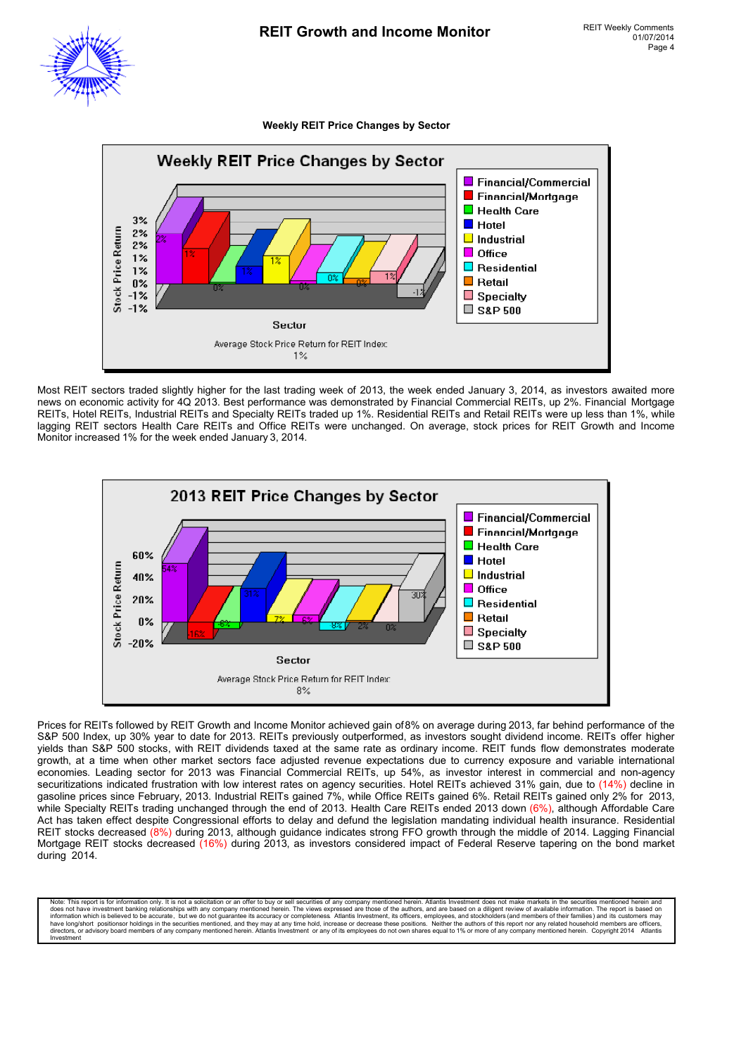

**Weekly REIT Price Changes by Sector**

![](_page_3_Figure_4.jpeg)

Most REIT sectors traded slightly higher for the last trading week of 2013, the week ended January 3, 2014, as investors awaited more news on economic activity for 4Q 2013. Best performance was demonstrated by Financial Commercial REITs, up 2%. Financial Mortgage REITs, Hotel REITs, Industrial REITs and Specialty REITs traded up 1%. Residential REITs and Retail REITs were up less than 1%, while lagging REIT sectors Health Care REITs and Office REITs were unchanged. On average, stock prices for REIT Growth and Income Monitor increased 1% for the week ended January 3, 2014.

![](_page_3_Figure_6.jpeg)

Prices for REITs followed by REIT Growth and Income Monitor achieved gain of 8% on average during 2013, far behind performance of the S&P 500 Index, up 30% year to date for 2013. REITs previously outperformed, as investors sought dividend income. REITs offer higher yields than S&P 500 stocks, with REIT dividends taxed at the same rate as ordinary income. REIT funds flow demonstrates moderate growth, at a time when other market sectors face adjusted revenue expectations due to currency exposure and variable international economies. Leading sector for 2013 was Financial Commercial REITs, up 54%, as investor interest in commercial and non-agency securitizations indicated frustration with low interest rates on agency securities. Hotel REITs achieved 31% gain, due to (14%) decline in gasoline prices since February, 2013. Industrial REITs gained 7%, while Office REITs gained 6%. Retail REITs gained only 2% for 2013, while Specialty REITs trading unchanged through the end of 2013. Health Care REITs ended 2013 down (6%), although Affordable Care Act has taken effect despite Congressional efforts to delay and defund the legislation mandating individual health insurance. Residential REIT stocks decreased (8%) during 2013, although guidance indicates strong FFO growth through the middle of 2014. Lagging Financial Mortgage REIT stocks decreased (16%) during 2013, as investors considered impact of Federal Reserve tapering on the bond market during 2014.

Note: This report is for information only. It is not a solicitation or an offer to buy or sell securities of any company mentioned herein. Atlantis Investment does not make markets in the securities mentioned herein the se information which is believed to be accurate, but we do not guarantee its accuracy or completeness. Atlantis Investment, its officers, employees, and stockholders (and members of their families) and its customers may have long/short positionsor holdings in the securities mentioned, and they may at any time hold, increase or decrease these positions. Neither the authors of this report nor any related household members are officers,<br>dire Investment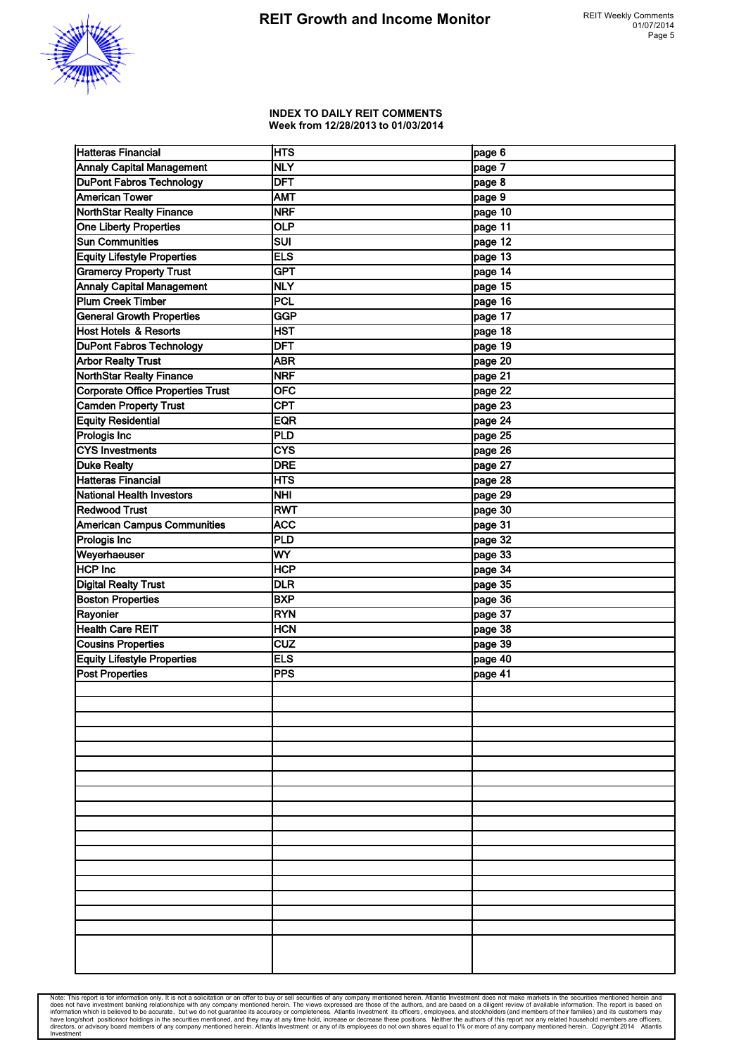![](_page_4_Picture_1.jpeg)

#### **INDEX TO DAILY REIT COMMENTS Week from 12/28/2013 to 01/03/2014**

| Hatteras Financial                       | <b>HTS</b>       | page 6  |
|------------------------------------------|------------------|---------|
| <b>Annaly Capital Management</b>         | <b>NLY</b>       | page 7  |
| <b>DuPont Fabros Technology</b>          | <b>DFT</b>       | page 8  |
| <b>American Tower</b>                    | AMT              | page 9  |
| <b>NorthStar Realty Finance</b>          | <b>NRF</b>       | page 10 |
| One Liberty Properties                   | <b>OLP</b>       | page 11 |
| <b>Sun Communities</b>                   | <b>SUI</b>       | page 12 |
| <b>Equity Lifestyle Properties</b>       | <b>ELS</b>       | page 13 |
| <b>Gramercy Property Trust</b>           | <b>GPT</b>       | page 14 |
| <b>Annaly Capital Management</b>         | <b>NLY</b>       | page 15 |
| <b>Plum Creek Timber</b>                 | PCL              | page 16 |
| <b>General Growth Properties</b>         | <b>GGP</b>       | page 17 |
| Host Hotels & Resorts                    | HST              | page 18 |
| <b>DuPont Fabros Technology</b>          | <b>DFT</b>       | page 19 |
| <b>Arbor Realty Trust</b>                | <b>ABR</b>       | page 20 |
| NorthStar Realty Finance                 | <b>NRF</b>       | page 21 |
| <b>Corporate Office Properties Trust</b> | $\overline{OFC}$ |         |
| <b>Camden Property Trust</b>             | CPT              | page 22 |
|                                          |                  | page 23 |
| <b>Equity Residential</b>                | <b>EQR</b>       | page 24 |
| Prologis Inc                             | PLD              | page 25 |
| <b>CYS Investments</b>                   | CYS              | page 26 |
| <b>Duke Realty</b>                       | <b>DRE</b>       | page 27 |
| <b>Hatteras Financial</b>                | <b>HTS</b>       | page 28 |
| National Health Investors                | <b>NHI</b>       | page 29 |
| <b>Redwood Trust</b>                     | <b>RWT</b>       | page 30 |
| American Campus Communities              | <b>ACC</b>       | page 31 |
| Prologis Inc                             | PLD              | page 32 |
| Weyerhaeuser                             | WY               | page 33 |
| <b>HCP Inc</b>                           | <b>HCP</b>       | page 34 |
| <b>Digital Realty Trust</b>              | DLR              | page 35 |
| <b>Boston Properties</b>                 | <b>BXP</b>       | page 36 |
| Rayonier                                 | <b>RYN</b>       | page 37 |
| <b>Health Care REIT</b>                  | <b>HCN</b>       | page 38 |
| <b>Cousins Properties</b>                | <b>CUZ</b>       | page 39 |
| <b>Equity Lifestyle Properties</b>       | <b>ELS</b>       | page 40 |
| <b>Post Properties</b>                   | <b>PPS</b>       | page 41 |
|                                          |                  |         |
|                                          |                  |         |
|                                          |                  |         |
|                                          |                  |         |
|                                          |                  |         |
|                                          |                  |         |
|                                          |                  |         |
|                                          |                  |         |
|                                          |                  |         |
|                                          |                  |         |
|                                          |                  |         |
|                                          |                  |         |
|                                          |                  |         |
|                                          |                  |         |
|                                          |                  |         |
|                                          |                  |         |
|                                          |                  |         |
|                                          |                  |         |
|                                          |                  |         |
|                                          |                  |         |

Note: This report is for information only. It is not a solicitation or an offer to buy or sell securities of any company mentioned herein. Atlantis Investment does not make markets in the securities mentioned herein and do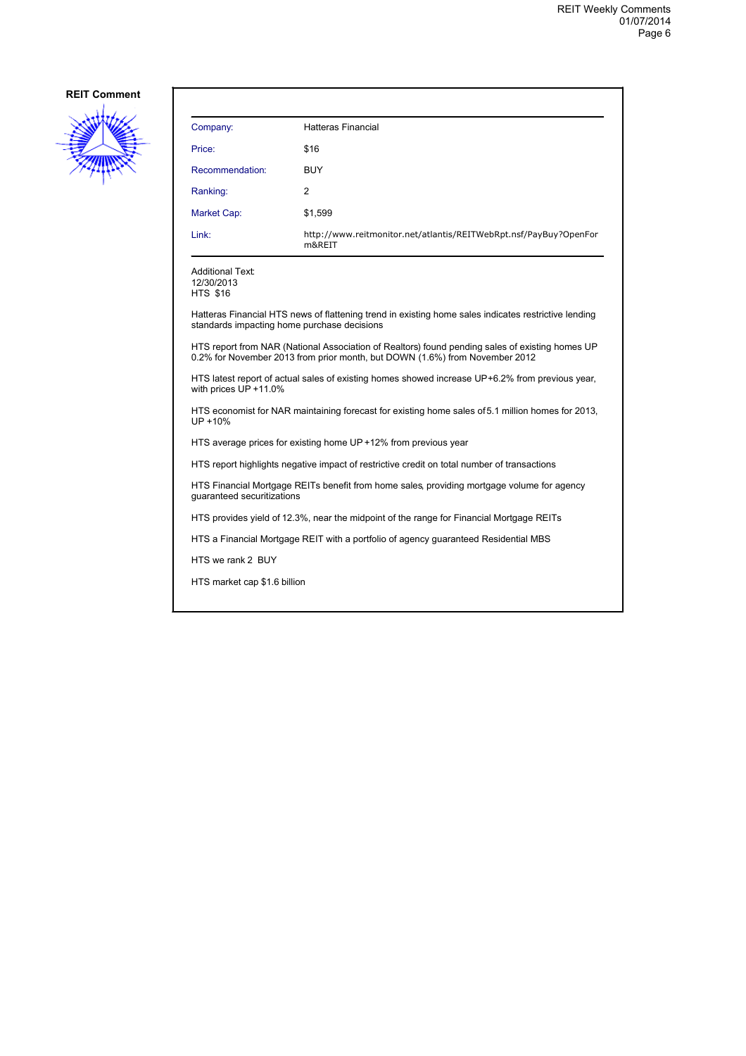![](_page_5_Picture_2.jpeg)

| Company:                                                                                                                 | <b>Hatteras Financial</b>                                                                                                                                                      |  |  |
|--------------------------------------------------------------------------------------------------------------------------|--------------------------------------------------------------------------------------------------------------------------------------------------------------------------------|--|--|
| Price:                                                                                                                   | \$16                                                                                                                                                                           |  |  |
| Recommendation:                                                                                                          | <b>BUY</b>                                                                                                                                                                     |  |  |
| Ranking:                                                                                                                 | 2                                                                                                                                                                              |  |  |
| Market Cap:                                                                                                              | \$1,599                                                                                                                                                                        |  |  |
| Link:                                                                                                                    | http://www.reitmonitor.net/atlantis/REITWebRpt.nsf/PayBuy?OpenFor<br>m&REIT                                                                                                    |  |  |
| <b>Additional Text:</b><br>12/30/2013<br><b>HTS \$16</b>                                                                 |                                                                                                                                                                                |  |  |
| standards impacting home purchase decisions                                                                              | Hatteras Financial HTS news of flattening trend in existing home sales indicates restrictive lending                                                                           |  |  |
|                                                                                                                          | HTS report from NAR (National Association of Realtors) found pending sales of existing homes UP<br>0.2% for November 2013 from prior month, but DOWN (1.6%) from November 2012 |  |  |
| HTS latest report of actual sales of existing homes showed increase UP+6.2% from previous year,<br>with prices UP +11.0% |                                                                                                                                                                                |  |  |
| HTS economist for NAR maintaining forecast for existing home sales of 5.1 million homes for 2013,<br>UP +10%             |                                                                                                                                                                                |  |  |
|                                                                                                                          | HTS average prices for existing home UP +12% from previous year                                                                                                                |  |  |
| HTS report highlights negative impact of restrictive credit on total number of transactions                              |                                                                                                                                                                                |  |  |
| HTS Financial Mortgage REITs benefit from home sales, providing mortgage volume for agency<br>quaranteed securitizations |                                                                                                                                                                                |  |  |
| HTS provides yield of 12.3%, near the midpoint of the range for Financial Mortgage REITs                                 |                                                                                                                                                                                |  |  |
|                                                                                                                          | HTS a Financial Mortgage REIT with a portfolio of agency guaranteed Residential MBS                                                                                            |  |  |
| HTS we rank 2 BUY                                                                                                        |                                                                                                                                                                                |  |  |
| HTS market cap \$1.6 billion                                                                                             |                                                                                                                                                                                |  |  |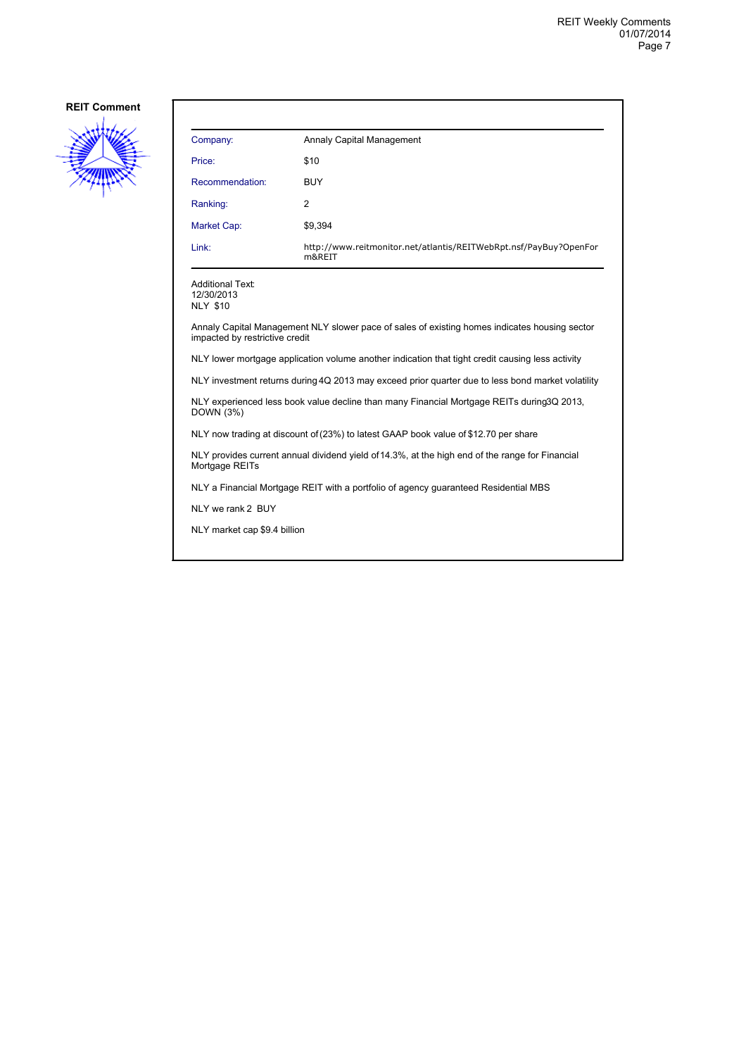![](_page_6_Picture_2.jpeg)

| Company:        | Annaly Capital Management                                                   |
|-----------------|-----------------------------------------------------------------------------|
| Price:          | \$10                                                                        |
| Recommendation: | <b>BUY</b>                                                                  |
| Ranking:        | 2                                                                           |
| Market Cap:     | \$9,394                                                                     |
| Link:           | http://www.reitmonitor.net/atlantis/REITWebRpt.nsf/PayBuy?OpenFor<br>m&REIT |

Additional Text: 12/30/2013

NLY \$10

Annaly Capital Management NLY slower pace of sales of existing homes indicates housing sector impacted by restrictive credit

NLY lower mortgage application volume another indication that tight credit causing less activity

NLY investment returns during 4Q 2013 may exceed prior quarter due to less bond market volatility

NLY experienced less book value decline than many Financial Mortgage REITs during 3Q 2013, DOWN (3%)

NLY now trading at discount of (23%) to latest GAAP book value of \$12.70 per share

NLY provides current annual dividend yield of 14.3%, at the high end of the range for Financial Mortgage REITs

NLY a Financial Mortgage REIT with a portfolio of agency guaranteed Residential MBS

NLY we rank 2 BUY

NLY market cap \$9.4 billion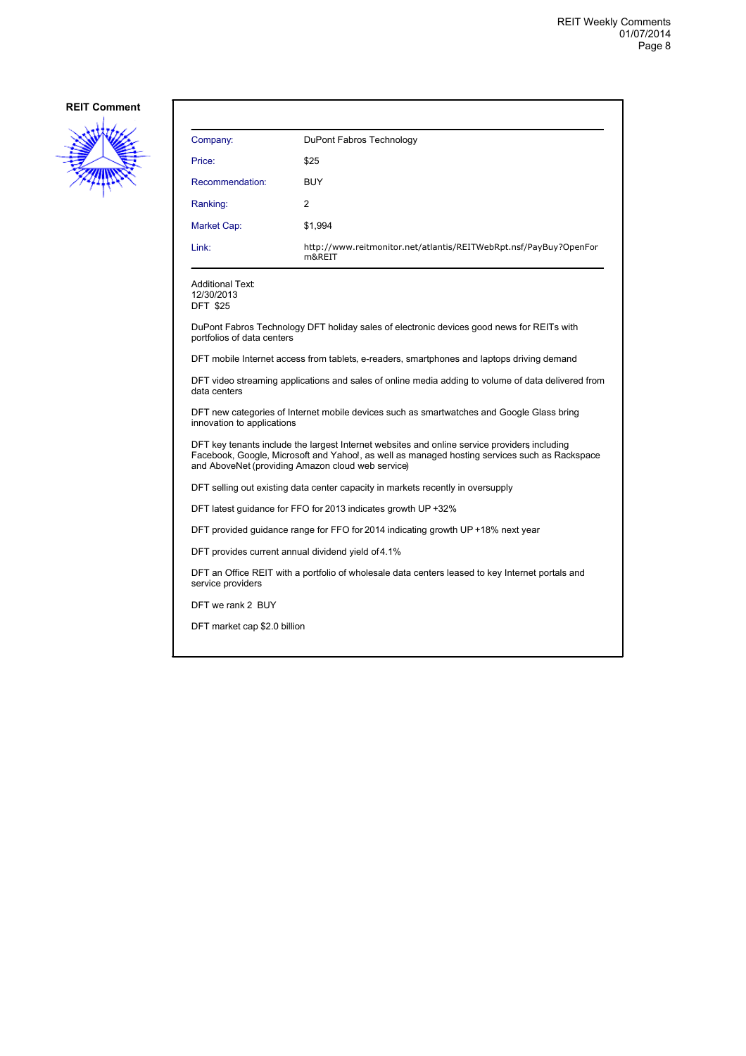![](_page_7_Picture_2.jpeg)

| Company:                                                 | DuPont Fabros Technology                                                                           |
|----------------------------------------------------------|----------------------------------------------------------------------------------------------------|
| Price:                                                   | \$25                                                                                               |
| Recommendation:                                          | <b>BUY</b>                                                                                         |
| Ranking:                                                 | $\overline{2}$                                                                                     |
| Market Cap:                                              | \$1,994                                                                                            |
| Link:                                                    | http://www.reitmonitor.net/atlantis/REITWebRpt.nsf/PayBuy?OpenFor<br>m&REIT                        |
| <b>Additional Text:</b><br>12/30/2013<br><b>DFT \$25</b> |                                                                                                    |
| portfolios of data centers                               | DuPont Fabros Technology DFT holiday sales of electronic devices good news for REITs with          |
|                                                          | DFT mobile Internet access from tablets, e-readers, smartphones and laptops driving demand         |
| data centers                                             | DFT video streaming applications and sales of online media adding to volume of data delivered from |

DFT new categories of Internet mobile devices such as smartwatches and Google Glass bring innovation to applications

DFT key tenants include the largest Internet websites and online service providers including Facebook, Google, Microsoft and Yahoo!, as well as managed hosting services such as Rackspace and AboveNet (providing Amazon cloud web service)

DFT selling out existing data center capacity in markets recently in oversupply

DFT latest guidance for FFO for 2013 indicates growth UP +32%

DFT provided guidance range for FFO for 2014 indicating growth UP +18% next year

DFT provides current annual dividend yield of 4.1%

DFT an Office REIT with a portfolio of wholesale data centers leased to key Internet portals and service providers

DFT we rank 2 BUY

DFT market cap \$2.0 billion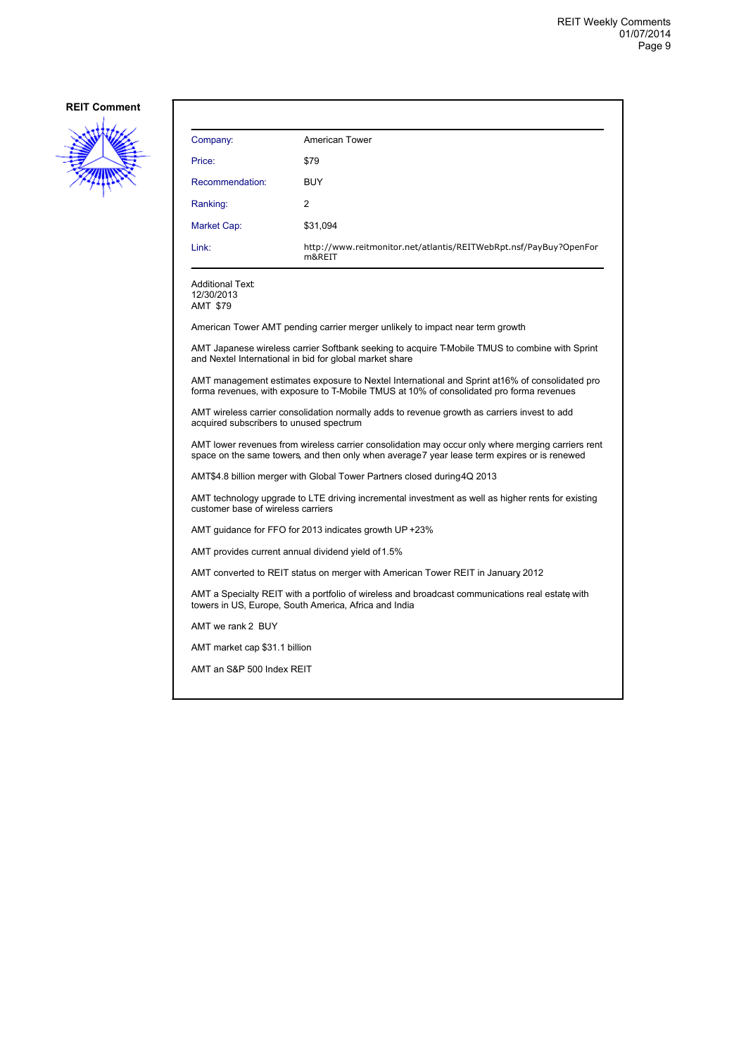![](_page_8_Picture_2.jpeg)

| Company:                                                                                                                                                                                          | American Tower                                                                                                                                            |  |
|---------------------------------------------------------------------------------------------------------------------------------------------------------------------------------------------------|-----------------------------------------------------------------------------------------------------------------------------------------------------------|--|
| Price:                                                                                                                                                                                            | \$79                                                                                                                                                      |  |
| Recommendation:                                                                                                                                                                                   | <b>BUY</b>                                                                                                                                                |  |
|                                                                                                                                                                                                   |                                                                                                                                                           |  |
| Ranking:                                                                                                                                                                                          | 2                                                                                                                                                         |  |
| <b>Market Cap:</b>                                                                                                                                                                                | \$31.094                                                                                                                                                  |  |
| Link:                                                                                                                                                                                             | http://www.reitmonitor.net/atlantis/REITWebRpt.nsf/PayBuy?OpenFor<br>m&REIT                                                                               |  |
| Additional Text:<br>12/30/2013<br>AMT \$79                                                                                                                                                        |                                                                                                                                                           |  |
|                                                                                                                                                                                                   | American Tower AMT pending carrier merger unlikely to impact near term growth                                                                             |  |
|                                                                                                                                                                                                   | AMT Japanese wireless carrier Softbank seeking to acquire T-Mobile TMUS to combine with Sprint<br>and Nextel International in bid for global market share |  |
| AMT management estimates exposure to Nextel International and Sprint at 16% of consolidated pro<br>forma revenues, with exposure to T-Mobile TMUS at 10% of consolidated pro forma revenues       |                                                                                                                                                           |  |
| acquired subscribers to unused spectrum                                                                                                                                                           | AMT wireless carrier consolidation normally adds to revenue growth as carriers invest to add                                                              |  |
| AMT lower revenues from wireless carrier consolidation may occur only where merging carriers rent<br>space on the same towers, and then only when average 7 year lease term expires or is renewed |                                                                                                                                                           |  |
| AMT\$4.8 billion merger with Global Tower Partners closed during 4Q 2013                                                                                                                          |                                                                                                                                                           |  |
| AMT technology upgrade to LTE driving incremental investment as well as higher rents for existing<br>customer base of wireless carriers                                                           |                                                                                                                                                           |  |
| AMT quidance for FFO for 2013 indicates growth UP +23%                                                                                                                                            |                                                                                                                                                           |  |
| AMT provides current annual dividend yield of 1.5%                                                                                                                                                |                                                                                                                                                           |  |
| AMT converted to REIT status on merger with American Tower REIT in January 2012                                                                                                                   |                                                                                                                                                           |  |
| AMT a Specialty REIT with a portfolio of wireless and broadcast communications real estate with<br>towers in US, Europe, South America, Africa and India                                          |                                                                                                                                                           |  |
| AMT we rank 2 BUY                                                                                                                                                                                 |                                                                                                                                                           |  |
| AMT market cap \$31.1 billion                                                                                                                                                                     |                                                                                                                                                           |  |
| AMT an S&P 500 Index REIT                                                                                                                                                                         |                                                                                                                                                           |  |
|                                                                                                                                                                                                   |                                                                                                                                                           |  |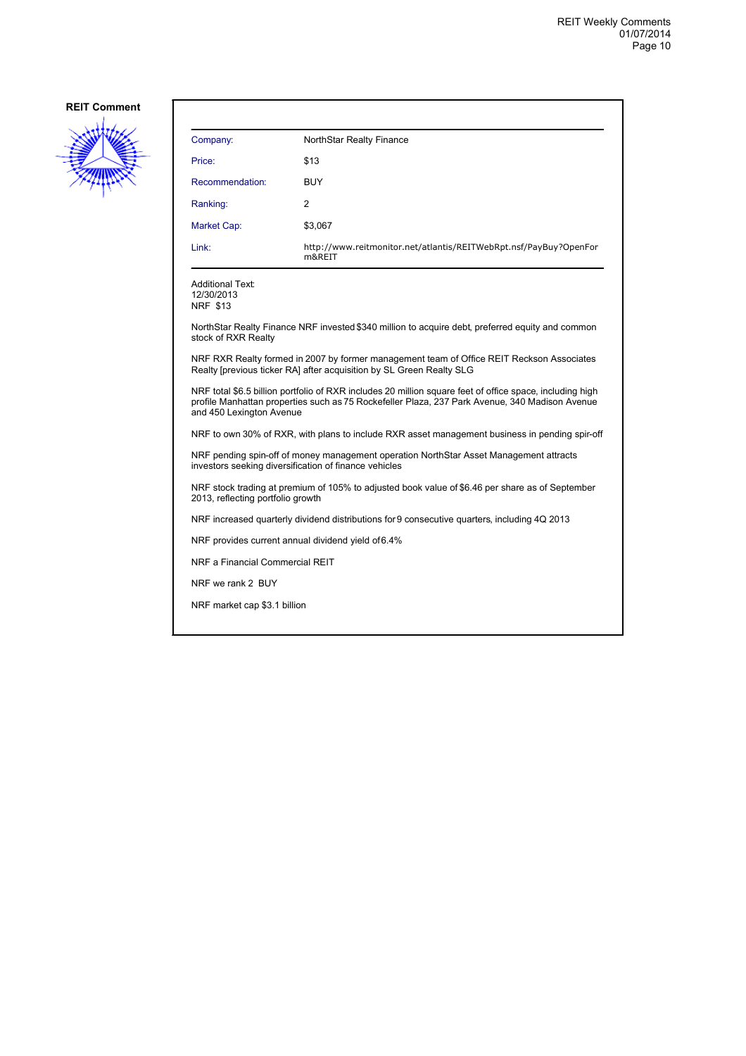![](_page_9_Picture_2.jpeg)

| Company:        | NorthStar Realty Finance                                                    |
|-----------------|-----------------------------------------------------------------------------|
| Price:          | \$13                                                                        |
| Recommendation: | <b>BUY</b>                                                                  |
| Ranking:        | 2                                                                           |
| Market Cap:     | \$3,067                                                                     |
| Link:           | http://www.reitmonitor.net/atlantis/REITWebRpt.nsf/PayBuy?OpenFor<br>m&REIT |

Additional Text: 12/30/2013 NRF \$13

NorthStar Realty Finance NRF invested \$340 million to acquire debt, preferred equity and common stock of RXR Realty

NRF RXR Realty formed in 2007 by former management team of Office REIT Reckson Associates Realty [previous ticker RA] after acquisition by SL Green Realty SLG

NRF total \$6.5 billion portfolio of RXR includes 20 million square feet of office space, including high profile Manhattan properties such as 75 Rockefeller Plaza, 237 Park Avenue, 340 Madison Avenue and 450 Lexington Avenue

NRF to own 30% of RXR, with plans to include RXR asset management business in pending spir-off

NRF pending spin-off of money management operation NorthStar Asset Management attracts investors seeking diversification of finance vehicles

NRF stock trading at premium of 105% to adjusted book value of \$6.46 per share as of September 2013, reflecting portfolio growth

NRF increased quarterly dividend distributions for 9 consecutive quarters, including 4Q 2013

NRF provides current annual dividend yield of 6.4%

NRF a Financial Commercial REIT

NRF we rank 2 BUY

NRF market cap \$3.1 billion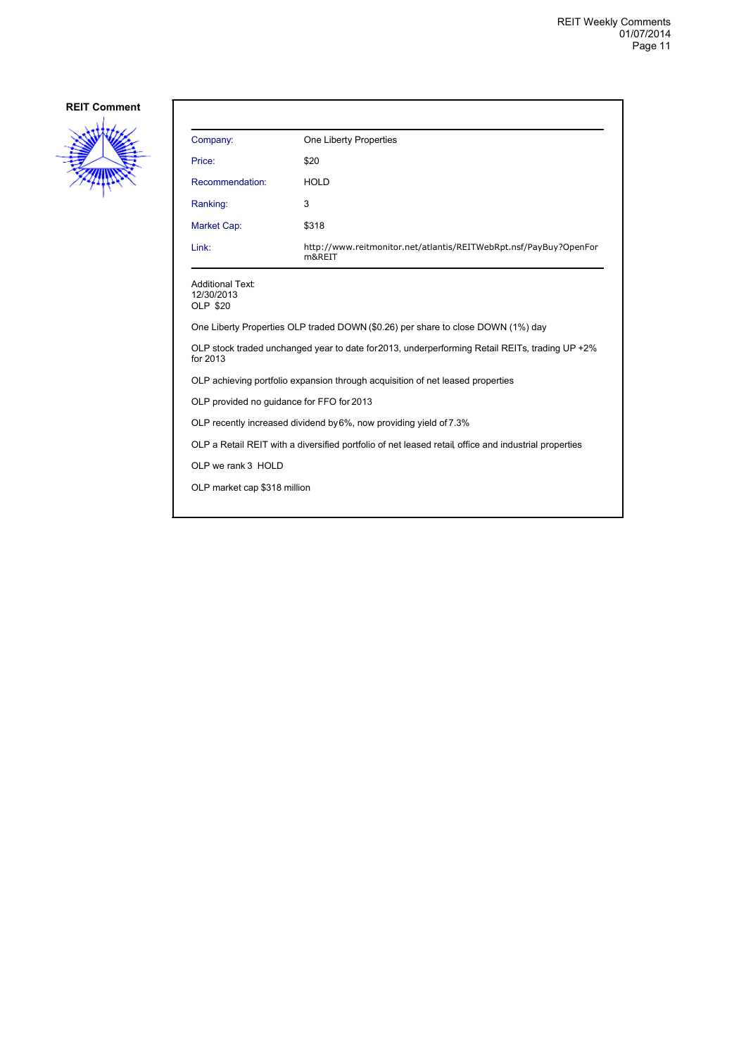![](_page_10_Picture_2.jpeg)

| Company:                                          | One Liberty Properties                                                                               |
|---------------------------------------------------|------------------------------------------------------------------------------------------------------|
| Price:                                            | \$20                                                                                                 |
| Recommendation:                                   | <b>HOLD</b>                                                                                          |
| Ranking:                                          | 3                                                                                                    |
| Market Cap:                                       | \$318                                                                                                |
| Link:                                             | http://www.reitmonitor.net/atlantis/REITWebRpt.nsf/PayBuy?OpenFor<br>m&REIT                          |
| <b>Additional Text:</b><br>12/30/2013<br>OLP \$20 |                                                                                                      |
|                                                   | One Liberty Properties OLP traded DOWN (\$0.26) per share to close DOWN (1%) day                     |
| for 2013                                          | OLP stock traded unchanged year to date for 2013, underperforming Retail REITs, trading UP +2%       |
|                                                   | OLP achieving portfolio expansion through acquisition of net leased properties                       |
| OLP provided no guidance for FFO for 2013         |                                                                                                      |
|                                                   | OLP recently increased dividend by 6%, now providing yield of 7.3%                                   |
|                                                   | OLP a Retail REIT with a diversified portfolio of net leased retail office and industrial properties |
| OLP we rank 3 HOLD                                |                                                                                                      |
| OLP market cap \$318 million                      |                                                                                                      |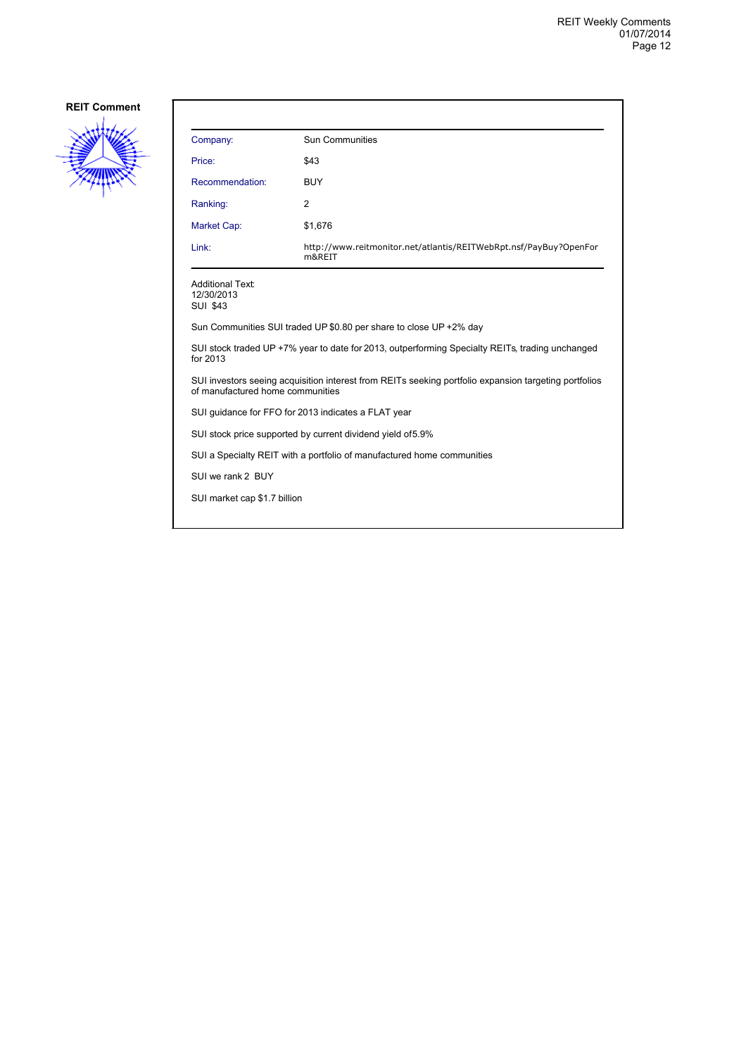![](_page_11_Picture_2.jpeg)

| Company:                                                                                                                                  | Sun Communities                                                             |  |
|-------------------------------------------------------------------------------------------------------------------------------------------|-----------------------------------------------------------------------------|--|
| Price:                                                                                                                                    | \$43                                                                        |  |
| Recommendation:                                                                                                                           | <b>BUY</b>                                                                  |  |
| Ranking:                                                                                                                                  | 2                                                                           |  |
| Market Cap:                                                                                                                               | \$1,676                                                                     |  |
| Link:                                                                                                                                     | http://www.reitmonitor.net/atlantis/REITWebRpt.nsf/PayBuy?OpenFor<br>m&REIT |  |
| <b>Additional Text:</b><br>12/30/2013<br><b>SUI \$43</b>                                                                                  |                                                                             |  |
| Sun Communities SUI traded UP \$0.80 per share to close UP +2% day                                                                        |                                                                             |  |
| SUI stock traded UP +7% year to date for 2013, outperforming Specialty REITs, trading unchanged<br>for 2013                               |                                                                             |  |
| SUI investors seeing acquisition interest from REITs seeking portfolio expansion targeting portfolios<br>of manufactured home communities |                                                                             |  |
| SUI guidance for FFO for 2013 indicates a FLAT year                                                                                       |                                                                             |  |
| SUI stock price supported by current dividend yield of 5.9%                                                                               |                                                                             |  |
| SUI a Specialty REIT with a portfolio of manufactured home communities                                                                    |                                                                             |  |
| SUI we rank 2 BUY                                                                                                                         |                                                                             |  |
| SUI market cap \$1.7 billion                                                                                                              |                                                                             |  |
|                                                                                                                                           |                                                                             |  |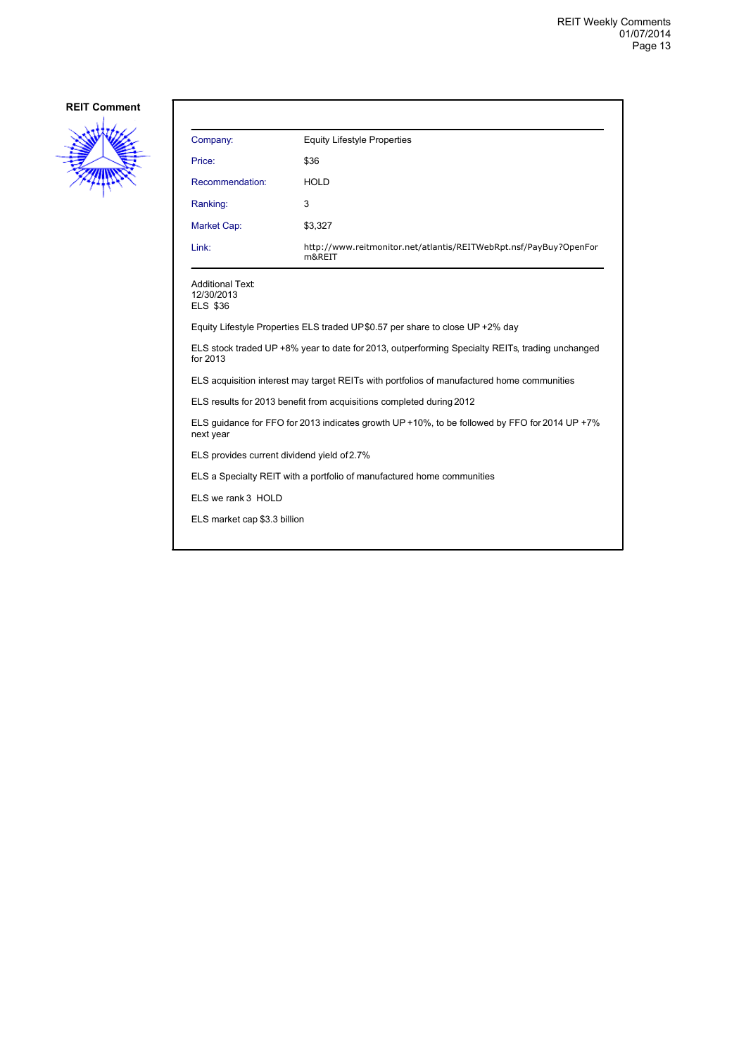![](_page_12_Picture_2.jpeg)

| Company:        | <b>Equity Lifestyle Properties</b>                                          |
|-----------------|-----------------------------------------------------------------------------|
| Price:          | \$36                                                                        |
| Recommendation: | <b>HOLD</b>                                                                 |
| Ranking:        | 3                                                                           |
| Market Cap:     | \$3,327                                                                     |
| Link:           | http://www.reitmonitor.net/atlantis/REITWebRpt.nsf/PayBuy?OpenFor<br>m&REIT |

12/30/2013 ELS \$36

Equity Lifestyle Properties ELS traded UP \$0.57 per share to close UP +2% day

ELS stock traded UP +8% year to date for 2013, outperforming Specialty REITs, trading unchanged for 2013

ELS acquisition interest may target REITs with portfolios of manufactured home communities

ELS results for 2013 benefit from acquisitions completed during 2012

ELS guidance for FFO for 2013 indicates growth UP +10%, to be followed by FFO for 2014 UP +7% next year

ELS provides current dividend yield of 2.7%

ELS a Specialty REIT with a portfolio of manufactured home communities

ELS we rank 3 HOLD

ELS market cap \$3.3 billion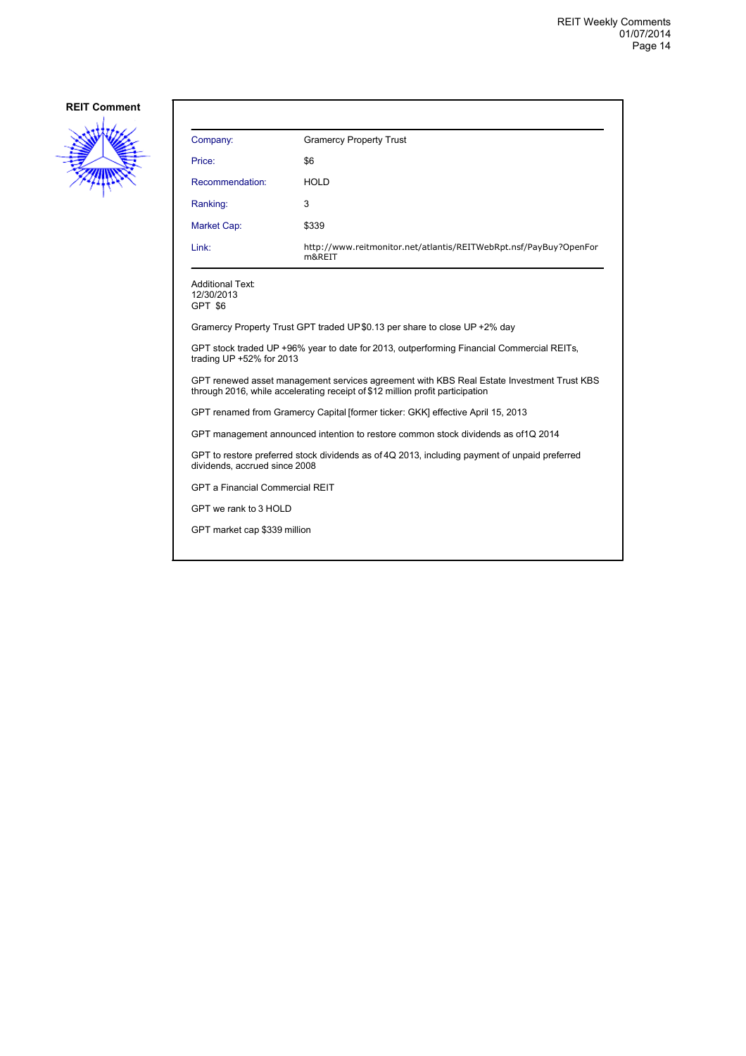![](_page_13_Picture_2.jpeg)

| Company:                                                                                                                                                                   | <b>Gramercy Property Trust</b>                                              |  |  |  |
|----------------------------------------------------------------------------------------------------------------------------------------------------------------------------|-----------------------------------------------------------------------------|--|--|--|
| Price:                                                                                                                                                                     | \$6                                                                         |  |  |  |
| Recommendation:                                                                                                                                                            | <b>HOLD</b>                                                                 |  |  |  |
| Ranking:                                                                                                                                                                   | 3                                                                           |  |  |  |
| Market Cap:                                                                                                                                                                | \$339                                                                       |  |  |  |
| Link:                                                                                                                                                                      | http://www.reitmonitor.net/atlantis/REITWebRpt.nsf/PayBuy?OpenFor<br>m&REIT |  |  |  |
| <b>Additional Text:</b><br>12/30/2013<br>GPT \$6                                                                                                                           |                                                                             |  |  |  |
| Gramercy Property Trust GPT traded UP \$0.13 per share to close UP +2% day                                                                                                 |                                                                             |  |  |  |
| GPT stock traded UP +96% year to date for 2013, outperforming Financial Commercial REITs,<br>trading UP +52% for 2013                                                      |                                                                             |  |  |  |
| GPT renewed asset management services agreement with KBS Real Estate Investment Trust KBS<br>through 2016, while accelerating receipt of \$12 million profit participation |                                                                             |  |  |  |
| GPT renamed from Gramercy Capital [former ticker: GKK] effective April 15, 2013                                                                                            |                                                                             |  |  |  |
| GPT management announced intention to restore common stock dividends as of 1Q 2014                                                                                         |                                                                             |  |  |  |
| GPT to restore preferred stock dividends as of 4Q 2013, including payment of unpaid preferred<br>dividends, accrued since 2008                                             |                                                                             |  |  |  |
| <b>GPT a Financial Commercial REIT</b>                                                                                                                                     |                                                                             |  |  |  |
| GPT we rank to 3 HOLD                                                                                                                                                      |                                                                             |  |  |  |
| GPT market cap \$339 million                                                                                                                                               |                                                                             |  |  |  |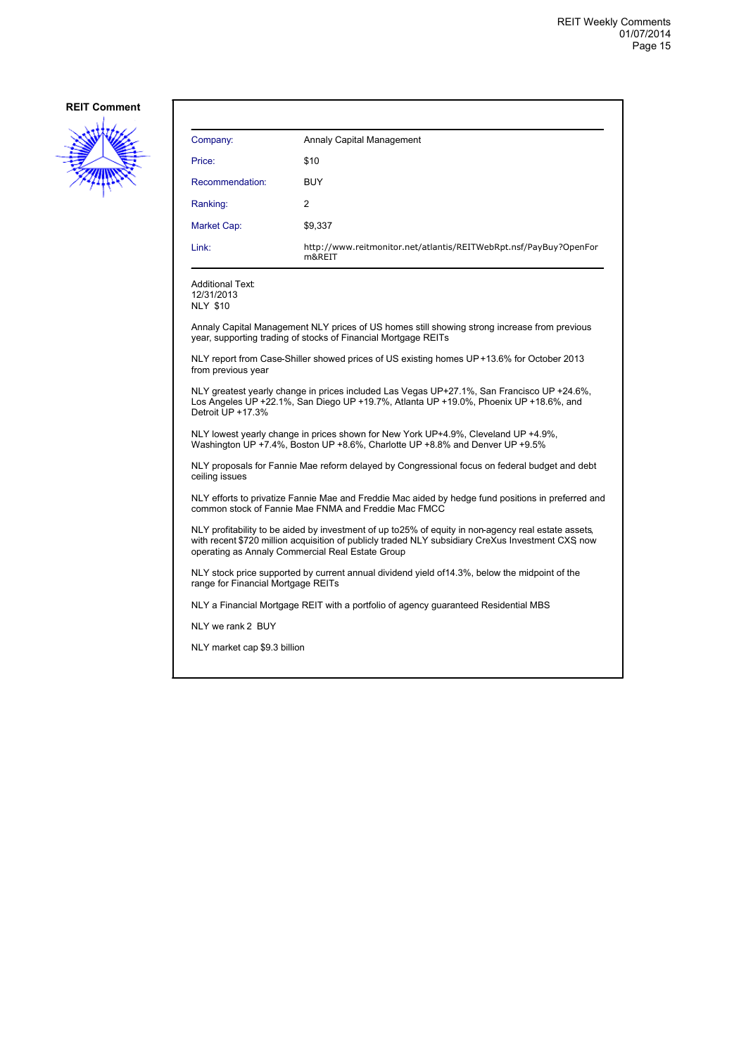![](_page_14_Picture_2.jpeg)

| Company:        | Annaly Capital Management                                                   |
|-----------------|-----------------------------------------------------------------------------|
| Price:          | \$10                                                                        |
| Recommendation: | <b>BUY</b>                                                                  |
| Ranking:        | 2                                                                           |
| Market Cap:     | \$9,337                                                                     |
| Link:           | http://www.reitmonitor.net/atlantis/REITWebRpt.nsf/PayBuy?OpenFor<br>m&REIT |

Additional Text: 12/31/2013 NLY \$10

Annaly Capital Management NLY prices of US homes still showing strong increase from previous year, supporting trading of stocks of Financial Mortgage REITs

NLY report from Case-Shiller showed prices of US existing homes UP +13.6% for October 2013 from previous year

NLY greatest yearly change in prices included Las Vegas UP +27.1%, San Francisco UP +24.6%, Los Angeles UP +22.1%, San Diego UP +19.7%, Atlanta UP +19.0%, Phoenix UP +18.6%, and Detroit UP +17.3%

NLY lowest yearly change in prices shown for New York UP +4.9%, Cleveland UP +4.9%, Washington UP +7.4%, Boston UP +8.6%, Charlotte UP +8.8% and Denver UP +9.5%

NLY proposals for Fannie Mae reform delayed by Congressional focus on federal budget and debt ceiling issues

NLY efforts to privatize Fannie Mae and Freddie Mac aided by hedge fund positions in preferred and common stock of Fannie Mae FNMA and Freddie Mac FMCC

NLY profitability to be aided by investment of up to 25% of equity in non-agency real estate assets, with recent \$720 million acquisition of publicly traded NLY subsidiary CreXus Investment CXS now operating as Annaly Commercial Real Estate Group

NLY stock price supported by current annual dividend yield of 14.3%, below the midpoint of the range for Financial Mortgage REITs

NLY a Financial Mortgage REIT with a portfolio of agency guaranteed Residential MBS

NLY we rank 2 BUY

NLY market cap \$9.3 billion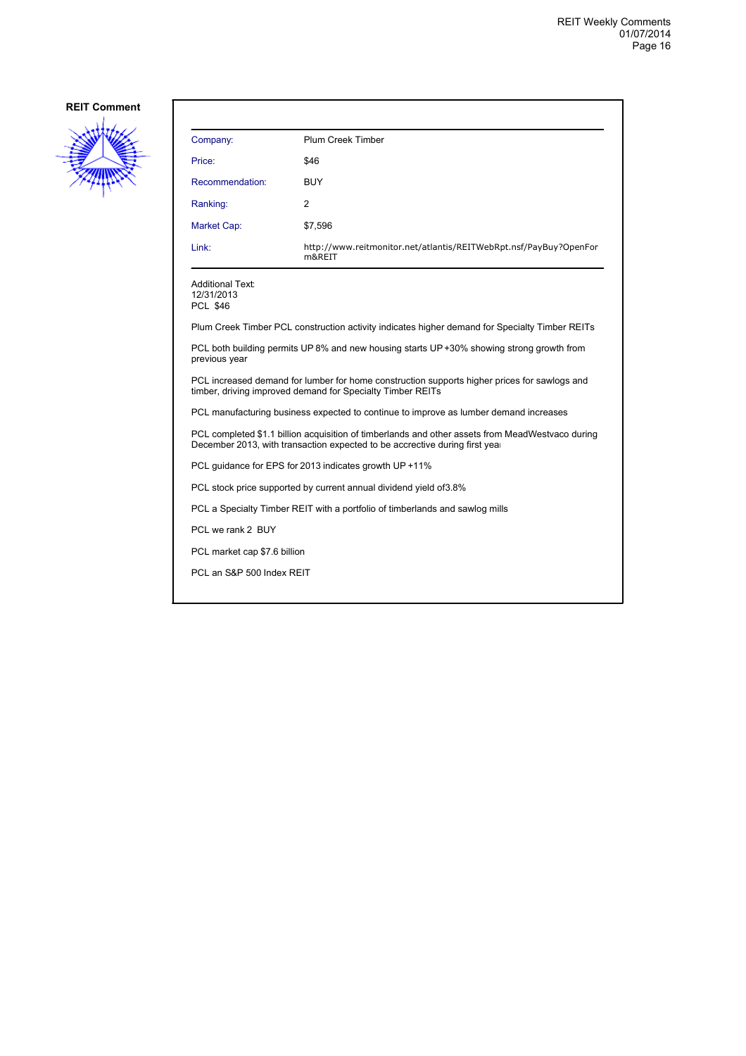![](_page_15_Picture_2.jpeg)

| Company:                                                                                                                                                                        | Plum Creek Timber                                                                              |  |
|---------------------------------------------------------------------------------------------------------------------------------------------------------------------------------|------------------------------------------------------------------------------------------------|--|
| Price:                                                                                                                                                                          | \$46                                                                                           |  |
| Recommendation:                                                                                                                                                                 | <b>BUY</b>                                                                                     |  |
| Ranking:                                                                                                                                                                        | 2                                                                                              |  |
| <b>Market Cap:</b>                                                                                                                                                              | \$7,596                                                                                        |  |
| Link:                                                                                                                                                                           | http://www.reitmonitor.net/atlantis/REITWebRpt.nsf/PayBuy?OpenFor<br>m&REIT                    |  |
| <b>Additional Text:</b><br>12/31/2013<br><b>PCL \$46</b>                                                                                                                        |                                                                                                |  |
|                                                                                                                                                                                 | Plum Creek Timber PCL construction activity indicates higher demand for Specialty Timber REITs |  |
| PCL both building permits UP 8% and new housing starts UP +30% showing strong growth from<br>previous year                                                                      |                                                                                                |  |
| PCL increased demand for lumber for home construction supports higher prices for sawlogs and<br>timber, driving improved demand for Specialty Timber REITs                      |                                                                                                |  |
| PCL manufacturing business expected to continue to improve as lumber demand increases                                                                                           |                                                                                                |  |
| PCL completed \$1.1 billion acquisition of timberlands and other assets from MeadWestvaco during<br>December 2013, with transaction expected to be accrective during first year |                                                                                                |  |
| PCL guidance for EPS for 2013 indicates growth UP +11%                                                                                                                          |                                                                                                |  |
| PCL stock price supported by current annual dividend yield of 3.8%                                                                                                              |                                                                                                |  |
| PCL a Specialty Timber REIT with a portfolio of timberlands and sawlog mills                                                                                                    |                                                                                                |  |
| PCL we rank 2 BUY                                                                                                                                                               |                                                                                                |  |
| PCL market cap \$7.6 billion                                                                                                                                                    |                                                                                                |  |
|                                                                                                                                                                                 | PCL an S&P 500 Index REIT                                                                      |  |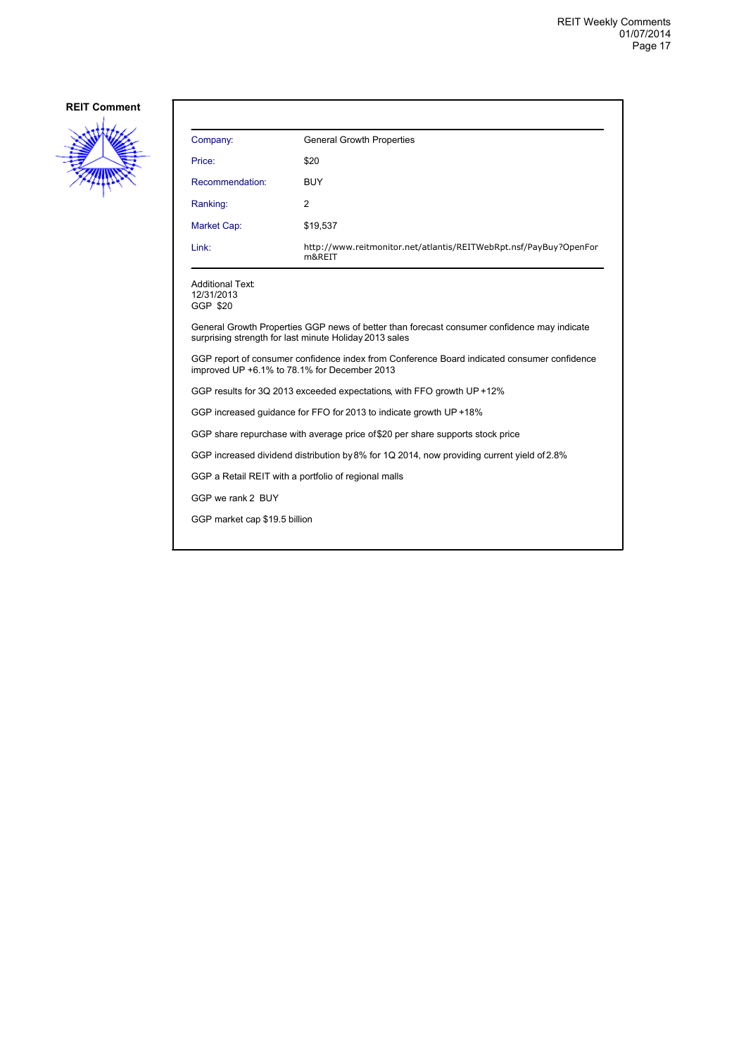![](_page_16_Picture_2.jpeg)

| <b>General Growth Properties</b>                                            |
|-----------------------------------------------------------------------------|
| \$20                                                                        |
| <b>BUY</b>                                                                  |
| 2                                                                           |
| \$19,537                                                                    |
| http://www.reitmonitor.net/atlantis/REITWebRpt.nsf/PayBuy?OpenFor<br>m&REIT |
|                                                                             |

Additional Text: 12/31/2013

GGP \$20

General Growth Properties GGP news of better than forecast consumer confidence may indicate surprising strength for last minute Holiday 2013 sales

GGP report of consumer confidence index from Conference Board indicated consumer confidence improved UP +6.1% to 78.1% for December 2013

GGP results for 3Q 2013 exceeded expectations, with FFO growth UP +12%

GGP increased guidance for FFO for 2013 to indicate growth UP +18%

GGP share repurchase with average price of \$20 per share supports stock price

GGP increased dividend distribution by 8% for 1Q 2014, now providing current yield of 2.8%

GGP a Retail REIT with a portfolio of regional malls

GGP we rank 2 BUY

GGP market cap \$19.5 billion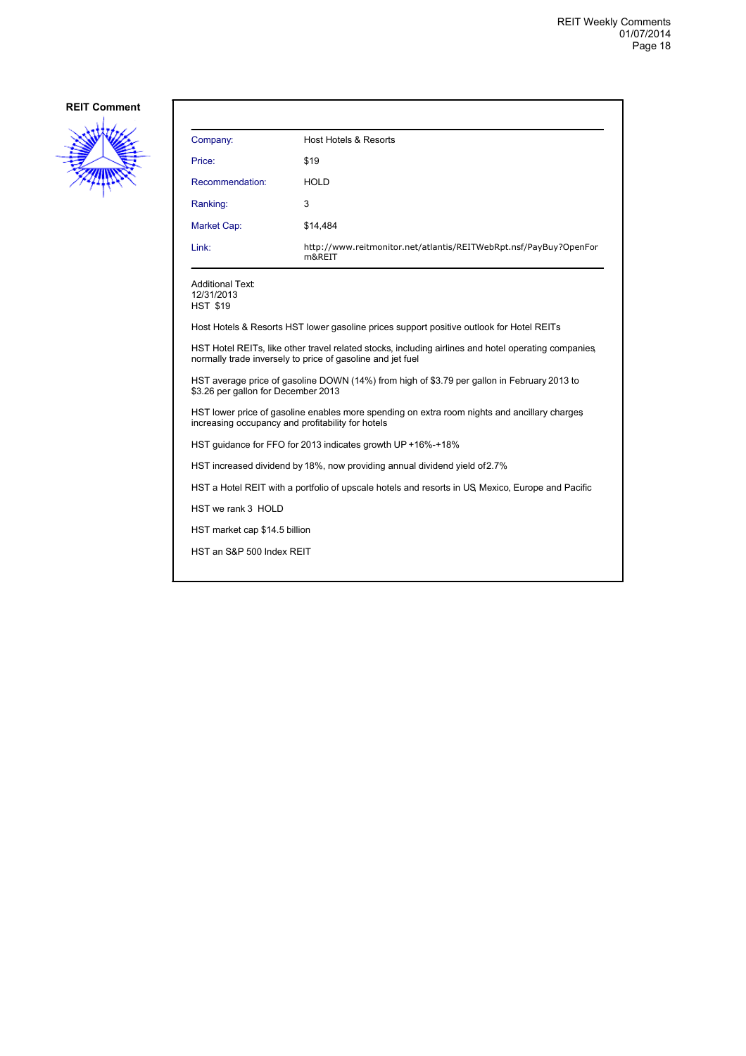![](_page_17_Picture_2.jpeg)

| Company:                                                 | Host Hotels & Resorts                                                       |
|----------------------------------------------------------|-----------------------------------------------------------------------------|
| Price:                                                   | \$19                                                                        |
| Recommendation:                                          | <b>HOLD</b>                                                                 |
| Ranking:                                                 | 3                                                                           |
| <b>Market Cap:</b>                                       | \$14,484                                                                    |
| Link:                                                    | http://www.reitmonitor.net/atlantis/REITWebRpt.nsf/PayBuy?OpenFor<br>m&REIT |
| <b>Additional Text:</b><br>12/31/2013<br><b>HST \$19</b> |                                                                             |

Host Hotels & Resorts HST lower gasoline prices support positive outlook for Hotel REITs

HST Hotel REITs, like other travel related stocks, including airlines and hotel operating companies, normally trade inversely to price of gasoline and jet fuel

HST average price of gasoline DOWN (14%) from high of \$3.79 per gallon in February 2013 to \$3.26 per gallon for December 2013

HST lower price of gasoline enables more spending on extra room nights and ancillary charges, increasing occupancy and profitability for hotels

HST guidance for FFO for 2013 indicates growth UP +16%-+18%

HST increased dividend by 18%, now providing annual dividend yield of 2.7%

HST a Hotel REIT with a portfolio of upscale hotels and resorts in US, Mexico, Europe and Pacific

HST we rank 3 HOLD

HST market cap \$14.5 billion

HST an S&P 500 Index REIT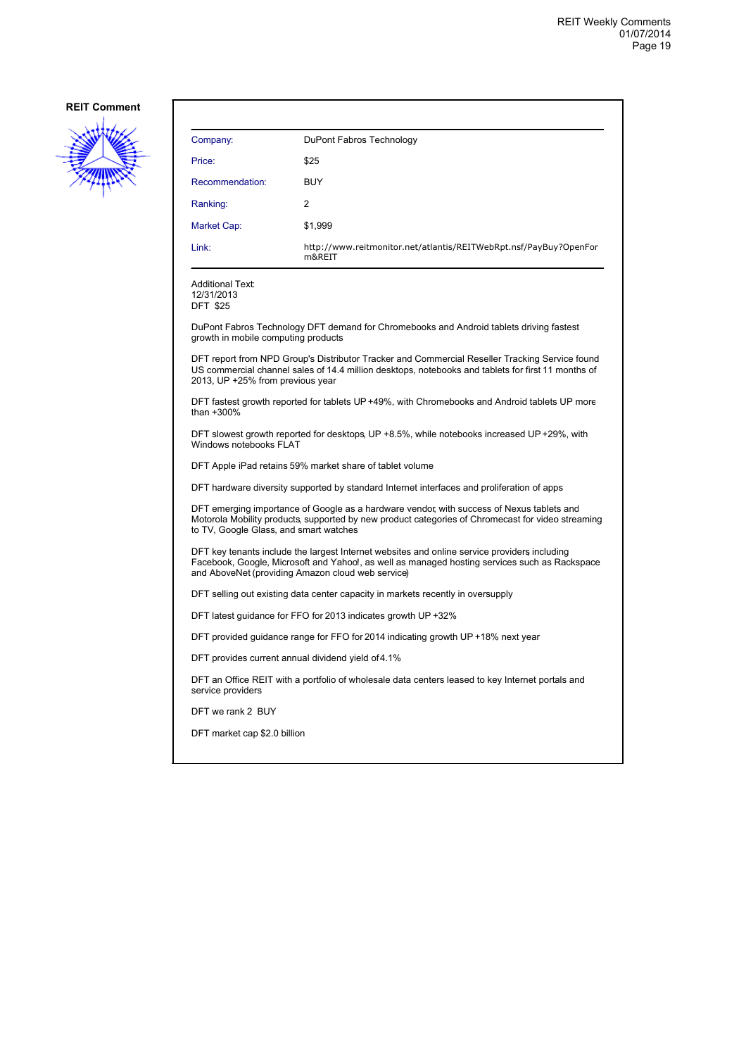![](_page_18_Picture_2.jpeg)

| Company:        | DuPont Fabros Technology                                                    |
|-----------------|-----------------------------------------------------------------------------|
| Price:          | \$25                                                                        |
| Recommendation: | <b>BUY</b>                                                                  |
| Ranking:        | $\overline{2}$                                                              |
| Market Cap:     | \$1,999                                                                     |
| Link:           | http://www.reitmonitor.net/atlantis/REITWebRpt.nsf/PayBuy?OpenFor<br>m&REIT |

Additional Text: 12/31/2013 DFT \$25

DuPont Fabros Technology DFT demand for Chromebooks and Android tablets driving fastest growth in mobile computing products

DFT report from NPD Group's Distributor Tracker and Commercial Reseller Tracking Service found US commercial channel sales of 14.4 million desktops, notebooks and tablets for first 11 months of 2013, UP +25% from previous year

DFT fastest growth reported for tablets UP +49%, with Chromebooks and Android tablets UP more than +300%

DFT slowest growth reported for desktops, UP +8.5%, while notebooks increased UP +29%, with Windows notebooks FLAT

DFT Apple iPad retains 59% market share of tablet volume

DFT hardware diversity supported by standard Internet interfaces and proliferation of apps

DFT emerging importance of Google as a hardware vendor, with success of Nexus tablets and Motorola Mobility products, supported by new product categories of Chromecast for video streaming to TV, Google Glass, and smart watches

DFT key tenants include the largest Internet websites and online service providers including Facebook, Google, Microsoft and Yahoo!, as well as managed hosting services such as Rackspace and AboveNet (providing Amazon cloud web service)

DFT selling out existing data center capacity in markets recently in oversupply

DFT latest guidance for FFO for 2013 indicates growth UP +32%

DFT provided guidance range for FFO for 2014 indicating growth UP +18% next year

DFT provides current annual dividend yield of 4.1%

DFT an Office REIT with a portfolio of wholesale data centers leased to key Internet portals and service providers

DFT we rank 2 BUY

DFT market cap \$2.0 billion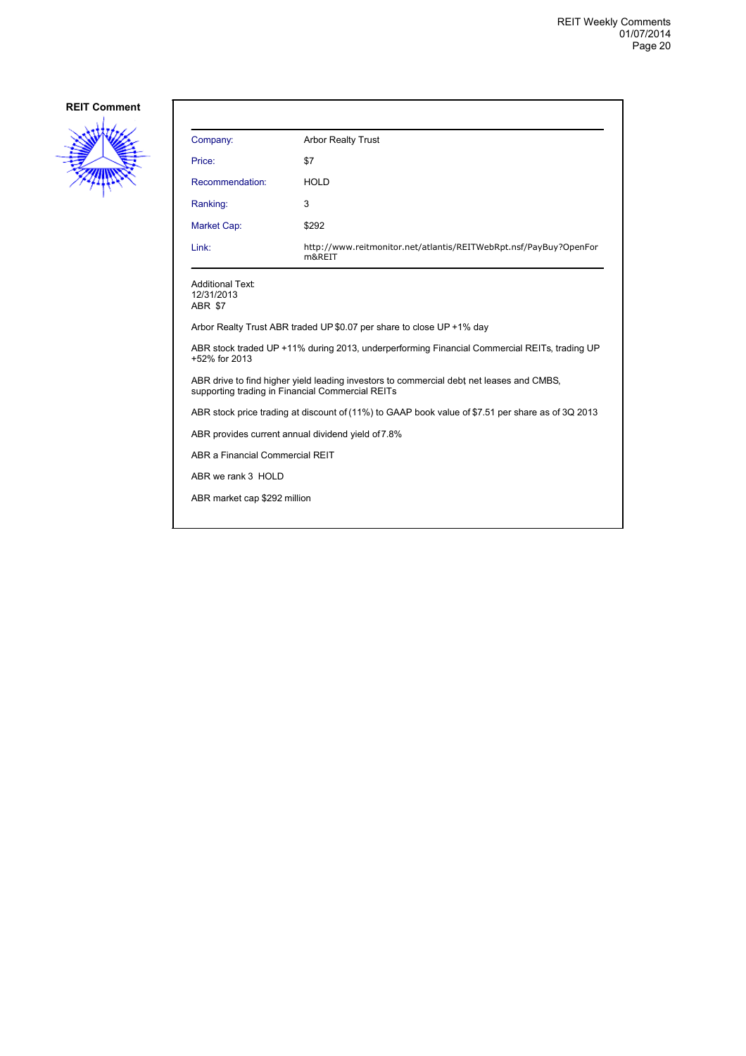![](_page_19_Picture_2.jpeg)

| Company:                                                                                                                                     | <b>Arbor Realty Trust</b>                                                   |  |
|----------------------------------------------------------------------------------------------------------------------------------------------|-----------------------------------------------------------------------------|--|
| Price:                                                                                                                                       | \$7                                                                         |  |
| Recommendation:                                                                                                                              | <b>HOLD</b>                                                                 |  |
| Ranking:                                                                                                                                     | 3                                                                           |  |
| Market Cap:                                                                                                                                  | \$292                                                                       |  |
| Link:                                                                                                                                        | http://www.reitmonitor.net/atlantis/REITWebRpt.nsf/PayBuy?OpenFor<br>m&REIT |  |
| <b>Additional Text:</b><br>12/31/2013<br>ABR \$7                                                                                             |                                                                             |  |
| Arbor Realty Trust ABR traded UP \$0.07 per share to close UP +1% day                                                                        |                                                                             |  |
| ABR stock traded UP +11% during 2013, underperforming Financial Commercial REITs, trading UP<br>+52% for 2013                                |                                                                             |  |
| ABR drive to find higher yield leading investors to commercial debt net leases and CMBS,<br>supporting trading in Financial Commercial REITs |                                                                             |  |
| ABR stock price trading at discount of (11%) to GAAP book value of \$7.51 per share as of 3Q 2013                                            |                                                                             |  |
| ABR provides current annual dividend yield of 7.8%                                                                                           |                                                                             |  |
| ABR a Financial Commercial REIT                                                                                                              |                                                                             |  |
| ABR we rank 3 HOLD                                                                                                                           |                                                                             |  |
| ABR market cap \$292 million                                                                                                                 |                                                                             |  |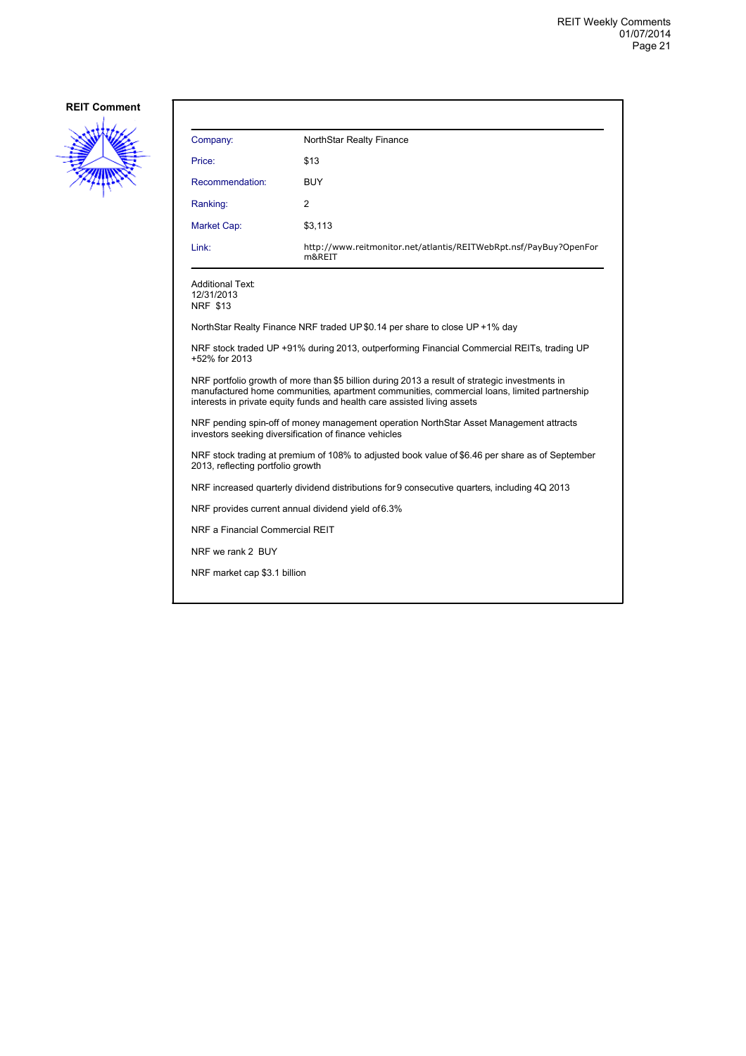![](_page_20_Picture_2.jpeg)

| Company:                                                                                                                                                                                                                                                                  | NorthStar Realty Finance                                                                     |  |  |
|---------------------------------------------------------------------------------------------------------------------------------------------------------------------------------------------------------------------------------------------------------------------------|----------------------------------------------------------------------------------------------|--|--|
| Price:                                                                                                                                                                                                                                                                    | \$13                                                                                         |  |  |
| Recommendation:                                                                                                                                                                                                                                                           | <b>BUY</b>                                                                                   |  |  |
| Ranking:                                                                                                                                                                                                                                                                  | 2                                                                                            |  |  |
| Market Cap:                                                                                                                                                                                                                                                               | \$3,113                                                                                      |  |  |
| Link:                                                                                                                                                                                                                                                                     | http://www.reitmonitor.net/atlantis/REITWebRpt.nsf/PayBuy?OpenFor<br>m&REIT                  |  |  |
| <b>Additional Text:</b><br>12/31/2013<br><b>NRF \$13</b>                                                                                                                                                                                                                  |                                                                                              |  |  |
|                                                                                                                                                                                                                                                                           | NorthStar Realty Finance NRF traded UP \$0.14 per share to close UP +1% day                  |  |  |
| NRF stock traded UP +91% during 2013, outperforming Financial Commercial REITs, trading UP<br>+52% for 2013                                                                                                                                                               |                                                                                              |  |  |
| NRF portfolio growth of more than \$5 billion during 2013 a result of strategic investments in<br>manufactured home communities, apartment communities, commercial loans, limited partnership<br>interests in private equity funds and health care assisted living assets |                                                                                              |  |  |
| NRF pending spin-off of money management operation NorthStar Asset Management attracts<br>investors seeking diversification of finance vehicles                                                                                                                           |                                                                                              |  |  |
| NRF stock trading at premium of 108% to adjusted book value of \$6.46 per share as of September<br>2013, reflecting portfolio growth                                                                                                                                      |                                                                                              |  |  |
|                                                                                                                                                                                                                                                                           | NRF increased quarterly dividend distributions for 9 consecutive quarters, including 4Q 2013 |  |  |
| NRF provides current annual dividend yield of 6.3%                                                                                                                                                                                                                        |                                                                                              |  |  |
| NRF a Financial Commercial REIT                                                                                                                                                                                                                                           |                                                                                              |  |  |
| NRF we rank 2 BUY                                                                                                                                                                                                                                                         |                                                                                              |  |  |
| NRF market cap \$3.1 billion                                                                                                                                                                                                                                              |                                                                                              |  |  |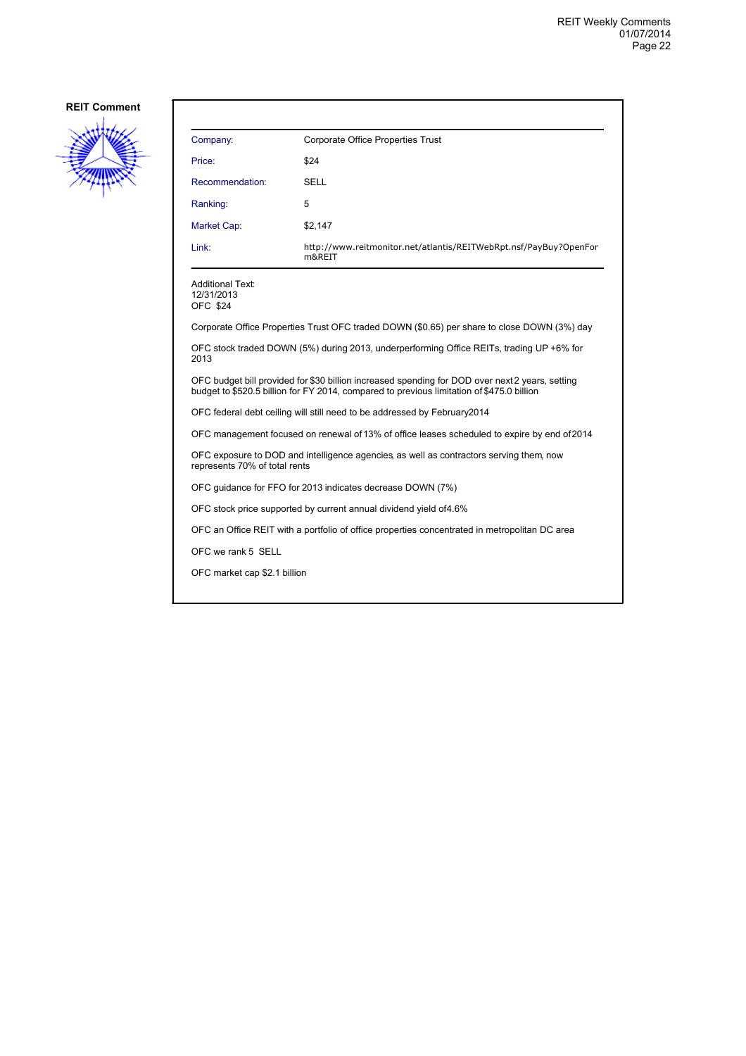![](_page_21_Picture_2.jpeg)

| Company:                                                                                                                                                                                    | Corporate Office Properties Trust                                                             |  |
|---------------------------------------------------------------------------------------------------------------------------------------------------------------------------------------------|-----------------------------------------------------------------------------------------------|--|
| Price:                                                                                                                                                                                      | \$24                                                                                          |  |
| Recommendation:                                                                                                                                                                             | SELL                                                                                          |  |
| Ranking:                                                                                                                                                                                    | 5                                                                                             |  |
| <b>Market Cap:</b>                                                                                                                                                                          | \$2,147                                                                                       |  |
| Link:                                                                                                                                                                                       | http://www.reitmonitor.net/atlantis/REITWebRpt.nsf/PayBuy?OpenFor<br>m&REIT                   |  |
| <b>Additional Text:</b><br>12/31/2013<br><b>OFC \$24</b>                                                                                                                                    |                                                                                               |  |
|                                                                                                                                                                                             | Corporate Office Properties Trust OFC traded DOWN (\$0.65) per share to close DOWN (3%) day   |  |
| OFC stock traded DOWN (5%) during 2013, underperforming Office REITs, trading UP +6% for<br>2013                                                                                            |                                                                                               |  |
| OFC budget bill provided for \$30 billion increased spending for DOD over next2 years, setting<br>budget to \$520.5 billion for FY 2014, compared to previous limitation of \$475.0 billion |                                                                                               |  |
| OFC federal debt ceiling will still need to be addressed by February2014                                                                                                                    |                                                                                               |  |
| OFC management focused on renewal of 13% of office leases scheduled to expire by end of 2014                                                                                                |                                                                                               |  |
| OFC exposure to DOD and intelligence agencies as well as contractors serving them, now<br>represents 70% of total rents                                                                     |                                                                                               |  |
| OFC guidance for FFO for 2013 indicates decrease DOWN (7%)                                                                                                                                  |                                                                                               |  |
|                                                                                                                                                                                             | OFC stock price supported by current annual dividend yield of 4.6%                            |  |
|                                                                                                                                                                                             | OFC an Office REIT with a portfolio of office properties concentrated in metropolitan DC area |  |
| OFC we rank 5 SELL                                                                                                                                                                          |                                                                                               |  |
| OFC market cap \$2.1 billion                                                                                                                                                                |                                                                                               |  |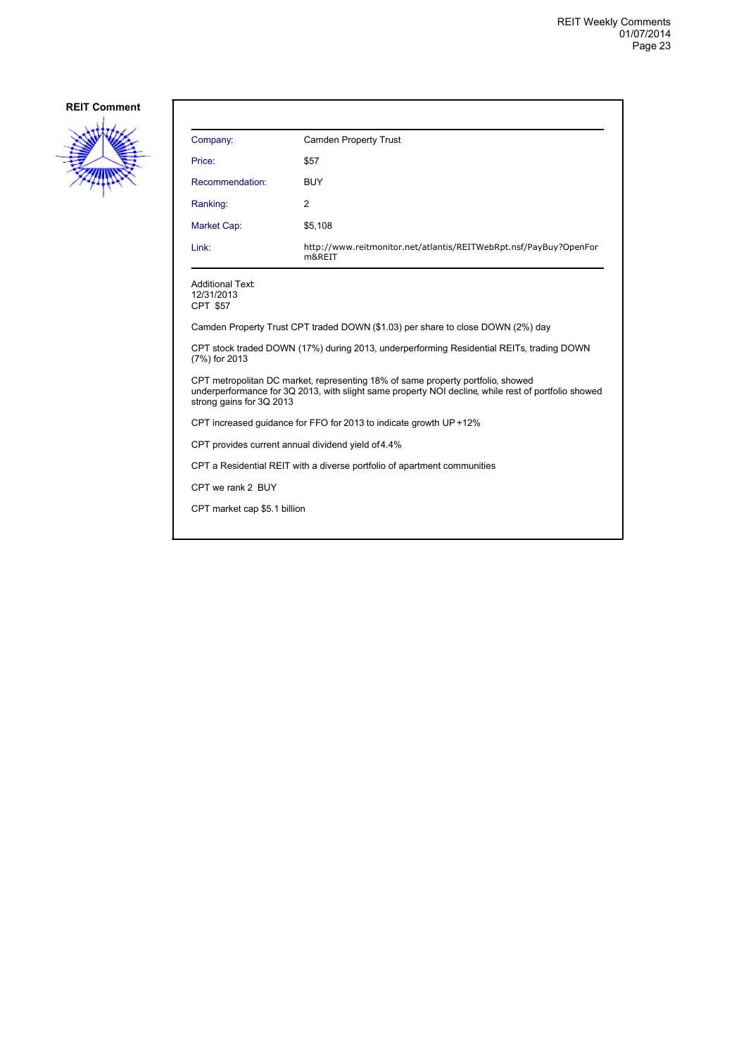![](_page_22_Picture_2.jpeg)

| Company:                                                                                                                                                                                                           | Camden Property Trust                                                       |  |
|--------------------------------------------------------------------------------------------------------------------------------------------------------------------------------------------------------------------|-----------------------------------------------------------------------------|--|
| Price:                                                                                                                                                                                                             | \$57                                                                        |  |
| Recommendation:                                                                                                                                                                                                    | <b>BUY</b>                                                                  |  |
| Ranking:                                                                                                                                                                                                           | 2                                                                           |  |
| <b>Market Cap:</b>                                                                                                                                                                                                 | \$5,108                                                                     |  |
| Link:                                                                                                                                                                                                              | http://www.reitmonitor.net/atlantis/REITWebRpt.nsf/PayBuy?OpenFor<br>m&REIT |  |
| <b>Additional Text:</b><br>12/31/2013<br><b>CPT \$57</b>                                                                                                                                                           |                                                                             |  |
| Camden Property Trust CPT traded DOWN (\$1.03) per share to close DOWN (2%) day                                                                                                                                    |                                                                             |  |
| CPT stock traded DOWN (17%) during 2013, underperforming Residential REITs, trading DOWN<br>(7%) for 2013                                                                                                          |                                                                             |  |
| CPT metropolitan DC market, representing 18% of same property portfolio, showed<br>underperformance for 3Q 2013, with slight same property NOI decline, while rest of portfolio showed<br>strong gains for 3Q 2013 |                                                                             |  |
| CPT increased guidance for FFO for 2013 to indicate growth UP +12%                                                                                                                                                 |                                                                             |  |
| CPT provides current annual dividend yield of 4.4%                                                                                                                                                                 |                                                                             |  |
| CPT a Residential REIT with a diverse portfolio of apartment communities                                                                                                                                           |                                                                             |  |
| CPT we rank 2 BUY                                                                                                                                                                                                  |                                                                             |  |
| CPT market cap \$5.1 billion                                                                                                                                                                                       |                                                                             |  |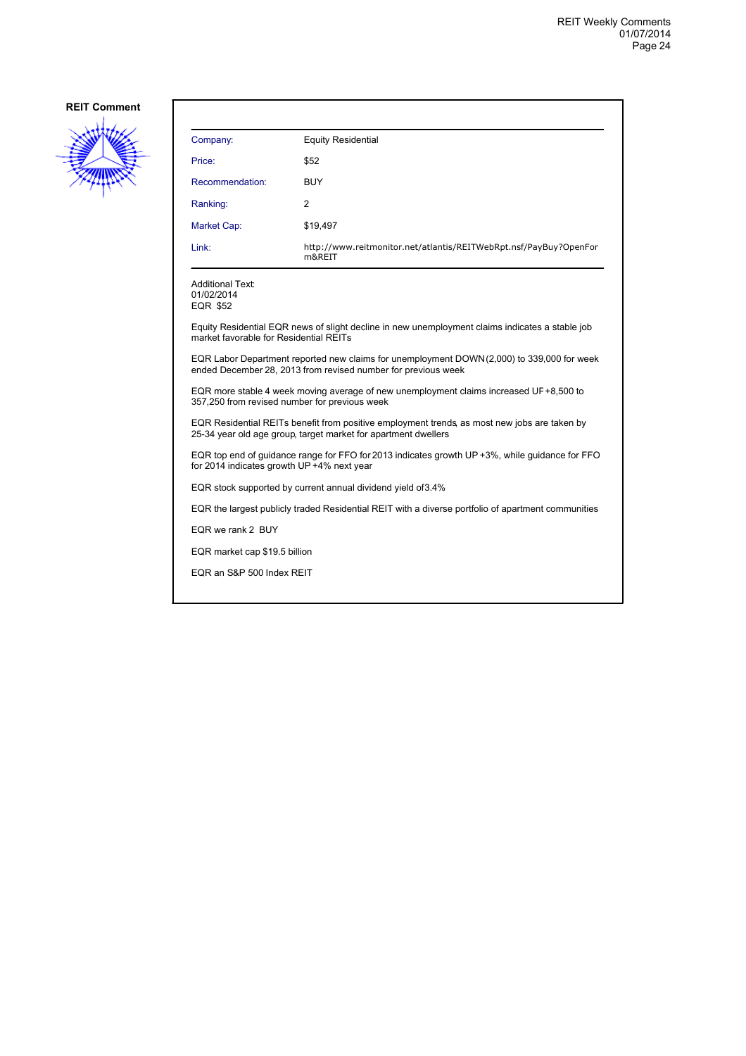![](_page_23_Picture_2.jpeg)

| Company:                                                                                                                                                       | <b>Equity Residential</b>                                                   |  |
|----------------------------------------------------------------------------------------------------------------------------------------------------------------|-----------------------------------------------------------------------------|--|
| Price:                                                                                                                                                         | \$52                                                                        |  |
| Recommendation:                                                                                                                                                | <b>BUY</b>                                                                  |  |
| Ranking:                                                                                                                                                       | 2                                                                           |  |
| Market Cap:                                                                                                                                                    | \$19,497                                                                    |  |
| Link:                                                                                                                                                          | http://www.reitmonitor.net/atlantis/REITWebRpt.nsf/PayBuy?OpenFor<br>m&REIT |  |
| Additional Text:<br>01/02/2014<br>EQR \$52                                                                                                                     |                                                                             |  |
| Equity Residential EQR news of slight decline in new unemployment claims indicates a stable job<br>market favorable for Residential REITs                      |                                                                             |  |
| EQR Labor Department reported new claims for unemployment DOWN(2,000) to 339,000 for week<br>ended December 28, 2013 from revised number for previous week     |                                                                             |  |
| EQR more stable 4 week moving average of new unemployment claims increased UF +8,500 to<br>357,250 from revised number for previous week                       |                                                                             |  |
| EQR Residential REITs benefit from positive employment trends, as most new jobs are taken by<br>25-34 year old age group, target market for apartment dwellers |                                                                             |  |
| EQR top end of guidance range for FFO for 2013 indicates growth UP +3%, while guidance for FFO<br>for 2014 indicates growth UP +4% next year                   |                                                                             |  |
| EQR stock supported by current annual dividend yield of 3.4%                                                                                                   |                                                                             |  |
| EQR the largest publicly traded Residential REIT with a diverse portfolio of apartment communities                                                             |                                                                             |  |
| EQR we rank 2 BUY                                                                                                                                              |                                                                             |  |
| EQR market cap \$19.5 billion                                                                                                                                  |                                                                             |  |
| EQR an S&P 500 Index REIT                                                                                                                                      |                                                                             |  |
|                                                                                                                                                                |                                                                             |  |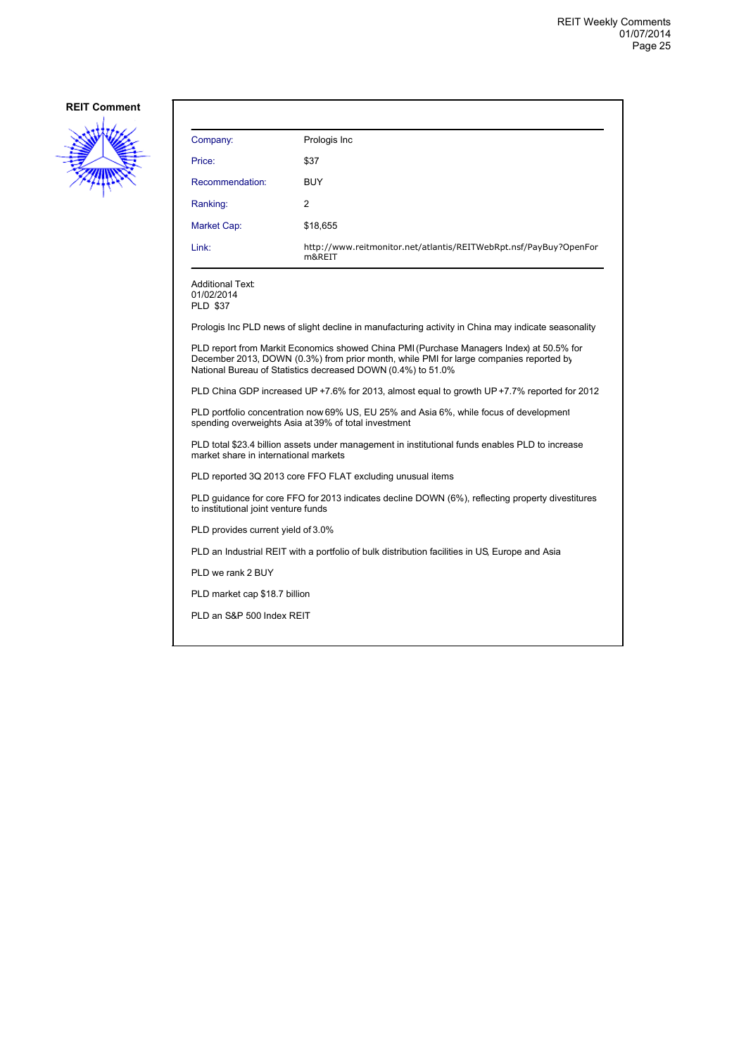![](_page_24_Picture_2.jpeg)

| Company:                                                                                                                                                                                                                                           | Prologis Inc                                                                |  |
|----------------------------------------------------------------------------------------------------------------------------------------------------------------------------------------------------------------------------------------------------|-----------------------------------------------------------------------------|--|
| Price:                                                                                                                                                                                                                                             | \$37                                                                        |  |
| Recommendation:                                                                                                                                                                                                                                    | <b>BUY</b>                                                                  |  |
| Ranking:                                                                                                                                                                                                                                           | $\overline{c}$                                                              |  |
| Market Cap:                                                                                                                                                                                                                                        | \$18,655                                                                    |  |
| Link:                                                                                                                                                                                                                                              | http://www.reitmonitor.net/atlantis/REITWebRpt.nsf/PayBuy?OpenFor<br>m&REIT |  |
| <b>Additional Text:</b><br>01/02/2014<br><b>PLD \$37</b>                                                                                                                                                                                           |                                                                             |  |
| Prologis Inc PLD news of slight decline in manufacturing activity in China may indicate seasonality                                                                                                                                                |                                                                             |  |
| PLD report from Markit Economics showed China PMI (Purchase Managers Index) at 50.5% for<br>December 2013, DOWN (0.3%) from prior month, while PMI for large companies reported by<br>National Bureau of Statistics decreased DOWN (0.4%) to 51.0% |                                                                             |  |
| PLD China GDP increased UP +7.6% for 2013, almost equal to growth UP +7.7% reported for 2012                                                                                                                                                       |                                                                             |  |
| PLD portfolio concentration now 69% US, EU 25% and Asia 6%, while focus of development<br>spending overweights Asia at 39% of total investment                                                                                                     |                                                                             |  |

PLD total \$23.4 billion assets under management in institutional funds enables PLD to increase market share in international markets

PLD reported 3Q 2013 core FFO FLAT excluding unusual items

PLD guidance for core FFO for 2013 indicates decline DOWN (6%), reflecting property divestitures to institutional joint venture funds

PLD provides current yield of 3.0%

PLD an Industrial REIT with a portfolio of bulk distribution facilities in US, Europe and Asia

PLD we rank 2 BUY

PLD market cap \$18.7 billion

PLD an S&P 500 Index REIT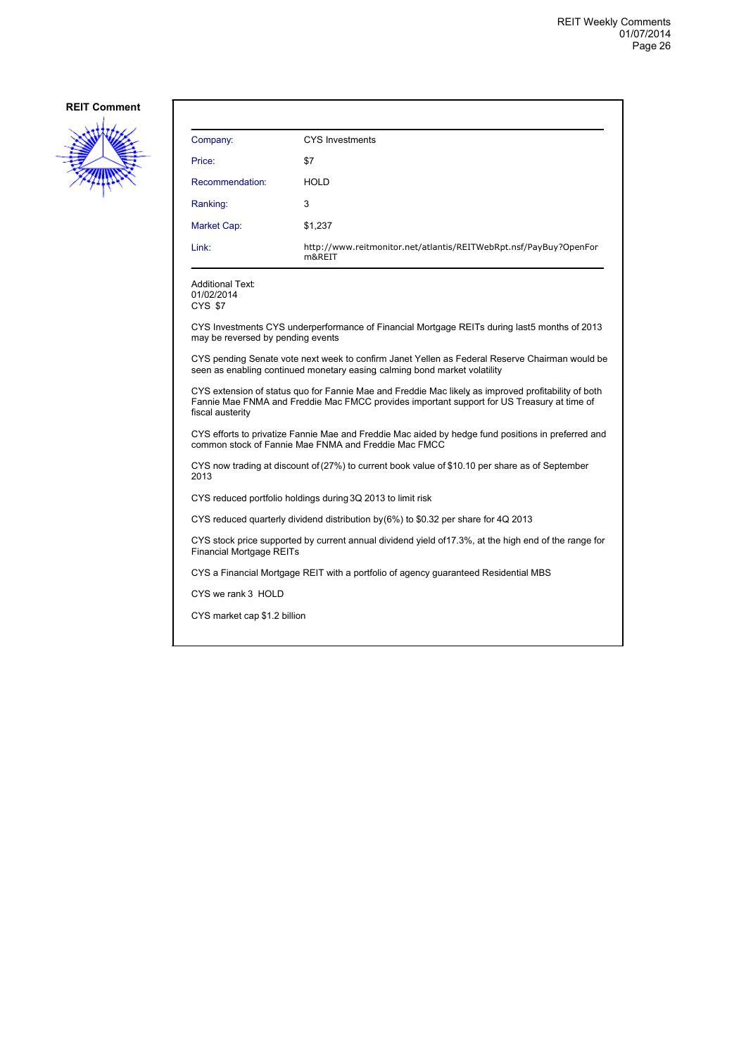![](_page_25_Picture_2.jpeg)

| Company:                                                                                                                                                                                                              | <b>CYS Investments</b>                                                                                |  |
|-----------------------------------------------------------------------------------------------------------------------------------------------------------------------------------------------------------------------|-------------------------------------------------------------------------------------------------------|--|
| Price:                                                                                                                                                                                                                | \$7                                                                                                   |  |
| Recommendation:                                                                                                                                                                                                       | <b>HOLD</b>                                                                                           |  |
| Ranking:                                                                                                                                                                                                              | 3                                                                                                     |  |
| Market Cap:                                                                                                                                                                                                           | \$1,237                                                                                               |  |
| Link:                                                                                                                                                                                                                 | http://www.reitmonitor.net/atlantis/REITWebRpt.nsf/PayBuy?OpenFor<br>m&REIT                           |  |
| <b>Additional Text:</b><br>01/02/2014<br>CYS \$7                                                                                                                                                                      |                                                                                                       |  |
| may be reversed by pending events                                                                                                                                                                                     | CYS Investments CYS underperformance of Financial Mortgage REITs during last5 months of 2013          |  |
| CYS pending Senate vote next week to confirm Janet Yellen as Federal Reserve Chairman would be<br>seen as enabling continued monetary easing calming bond market volatility                                           |                                                                                                       |  |
| CYS extension of status quo for Fannie Mae and Freddie Mac likely as improved profitability of both<br>Fannie Mae FNMA and Freddie Mac FMCC provides important support for US Treasury at time of<br>fiscal austerity |                                                                                                       |  |
| CYS efforts to privatize Fannie Mae and Freddie Mac aided by hedge fund positions in preferred and<br>common stock of Fannie Mae FNMA and Freddie Mac FMCC                                                            |                                                                                                       |  |
| CYS now trading at discount of (27%) to current book value of \$10.10 per share as of September<br>2013                                                                                                               |                                                                                                       |  |
| CYS reduced portfolio holdings during 3Q 2013 to limit risk                                                                                                                                                           |                                                                                                       |  |
|                                                                                                                                                                                                                       | CYS reduced quarterly dividend distribution by (6%) to \$0.32 per share for 4Q 2013                   |  |
| <b>Financial Mortgage REITs</b>                                                                                                                                                                                       | CYS stock price supported by current annual dividend yield of 17.3%, at the high end of the range for |  |
| CYS a Financial Mortgage REIT with a portfolio of agency guaranteed Residential MBS                                                                                                                                   |                                                                                                       |  |
| CYS we rank 3 HOLD                                                                                                                                                                                                    |                                                                                                       |  |
| CYS market cap \$1.2 billion                                                                                                                                                                                          |                                                                                                       |  |
|                                                                                                                                                                                                                       |                                                                                                       |  |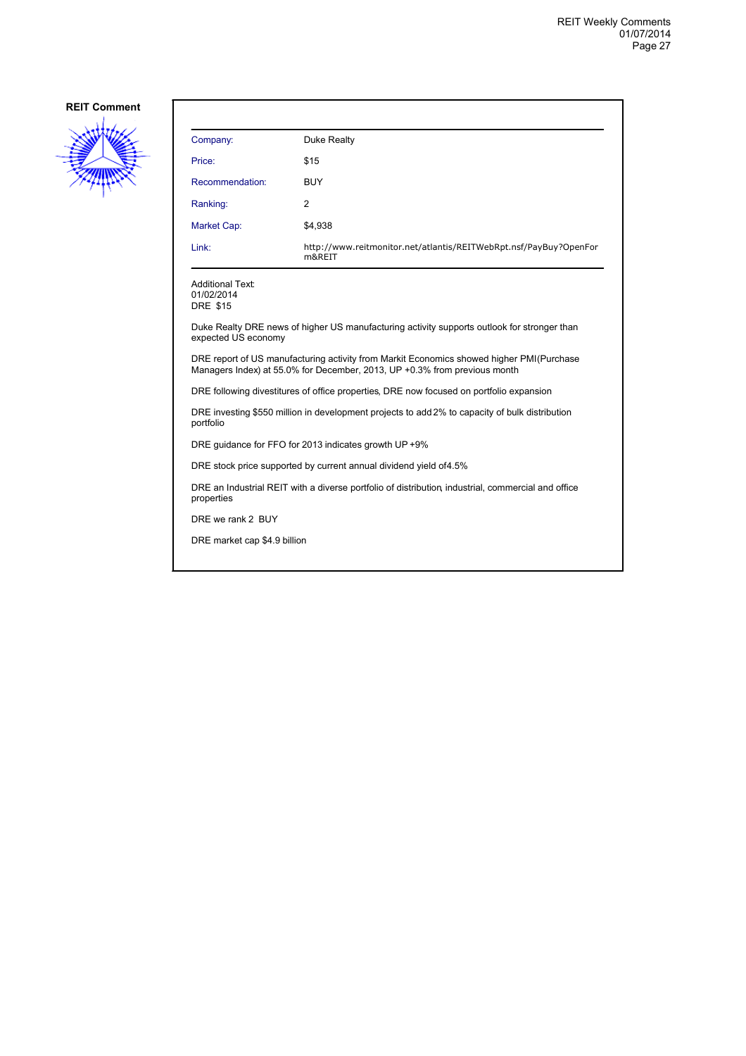![](_page_26_Picture_2.jpeg)

| Company:                                                 | Duke Realty                                                                 |
|----------------------------------------------------------|-----------------------------------------------------------------------------|
| Price:                                                   | \$15                                                                        |
| Recommendation:                                          | <b>BUY</b>                                                                  |
| Ranking:                                                 | 2                                                                           |
| <b>Market Cap:</b>                                       | \$4,938                                                                     |
| Link:                                                    | http://www.reitmonitor.net/atlantis/REITWebRpt.nsf/PayBuy?OpenFor<br>m&REIT |
| <b>Additional Text:</b><br>01/02/2014<br><b>DRE \$15</b> |                                                                             |

Duke Realty DRE news of higher US manufacturing activity supports outlook for stronger than expected US economy

DRE report of US manufacturing activity from Markit Economics showed higher PMI (Purchase Managers Index) at 55.0% for December, 2013, UP +0.3% from previous month

DRE following divestitures of office properties, DRE now focused on portfolio expansion

DRE investing \$550 million in development projects to add 2% to capacity of bulk distribution portfolio

DRE guidance for FFO for 2013 indicates growth UP +9%

DRE stock price supported by current annual dividend yield of 4.5%

DRE an Industrial REIT with a diverse portfolio of distribution, industrial, commercial and office properties

DRE we rank 2 BUY

DRE market cap \$4.9 billion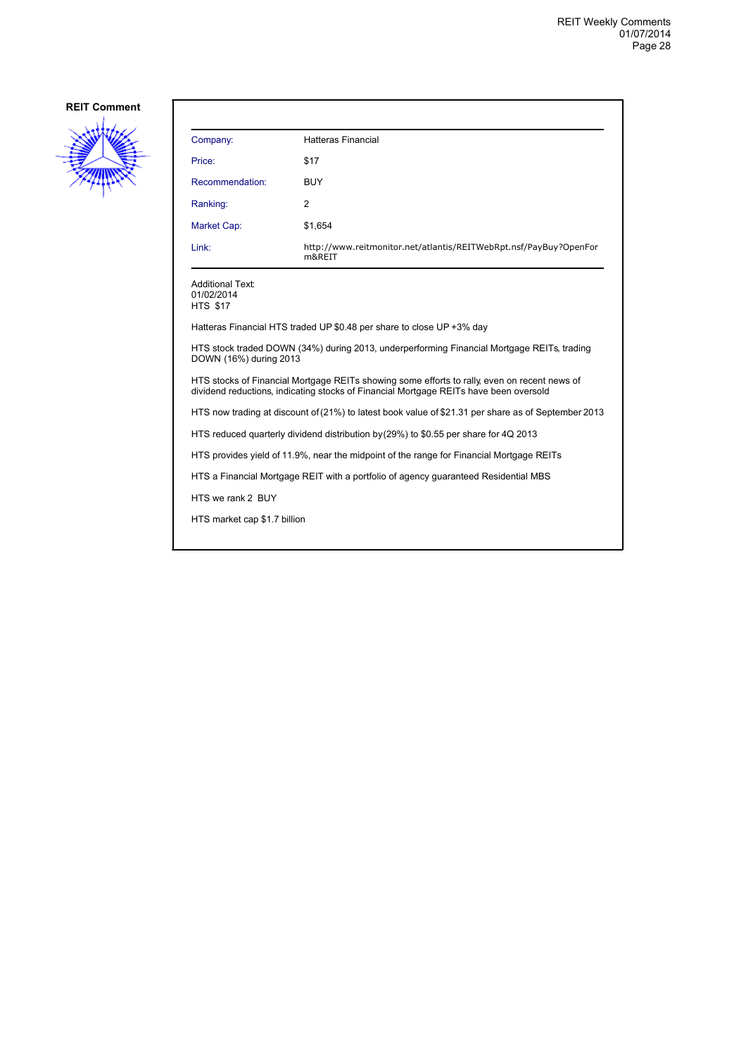![](_page_27_Picture_2.jpeg)

| Company:                                                                                                                                                                              | <b>Hatteras Financial</b>                                                   |  |
|---------------------------------------------------------------------------------------------------------------------------------------------------------------------------------------|-----------------------------------------------------------------------------|--|
| Price:                                                                                                                                                                                | \$17                                                                        |  |
| Recommendation:                                                                                                                                                                       | <b>BUY</b>                                                                  |  |
| Ranking:                                                                                                                                                                              | 2                                                                           |  |
| Market Cap:                                                                                                                                                                           | \$1,654                                                                     |  |
| Link:                                                                                                                                                                                 | http://www.reitmonitor.net/atlantis/REITWebRpt.nsf/PayBuy?OpenFor<br>m&REIT |  |
| <b>Additional Text:</b><br>01/02/2014<br><b>HTS \$17</b>                                                                                                                              |                                                                             |  |
|                                                                                                                                                                                       | Hatteras Financial HTS traded UP \$0.48 per share to close UP +3% day       |  |
| HTS stock traded DOWN (34%) during 2013, underperforming Financial Mortgage REITs, trading<br>DOWN (16%) during 2013                                                                  |                                                                             |  |
| HTS stocks of Financial Mortgage REITs showing some efforts to rally, even on recent news of<br>dividend reductions, indicating stocks of Financial Mortgage REITs have been oversold |                                                                             |  |
| HTS now trading at discount of (21%) to latest book value of \$21.31 per share as of September 2013                                                                                   |                                                                             |  |
| HTS reduced quarterly dividend distribution by (29%) to \$0.55 per share for 4Q 2013                                                                                                  |                                                                             |  |
| HTS provides yield of 11.9%, near the midpoint of the range for Financial Mortgage REITs                                                                                              |                                                                             |  |
| HTS a Financial Mortgage REIT with a portfolio of agency guaranteed Residential MBS                                                                                                   |                                                                             |  |
| HTS we rank 2 BUY                                                                                                                                                                     |                                                                             |  |
| HTS market cap \$1.7 billion                                                                                                                                                          |                                                                             |  |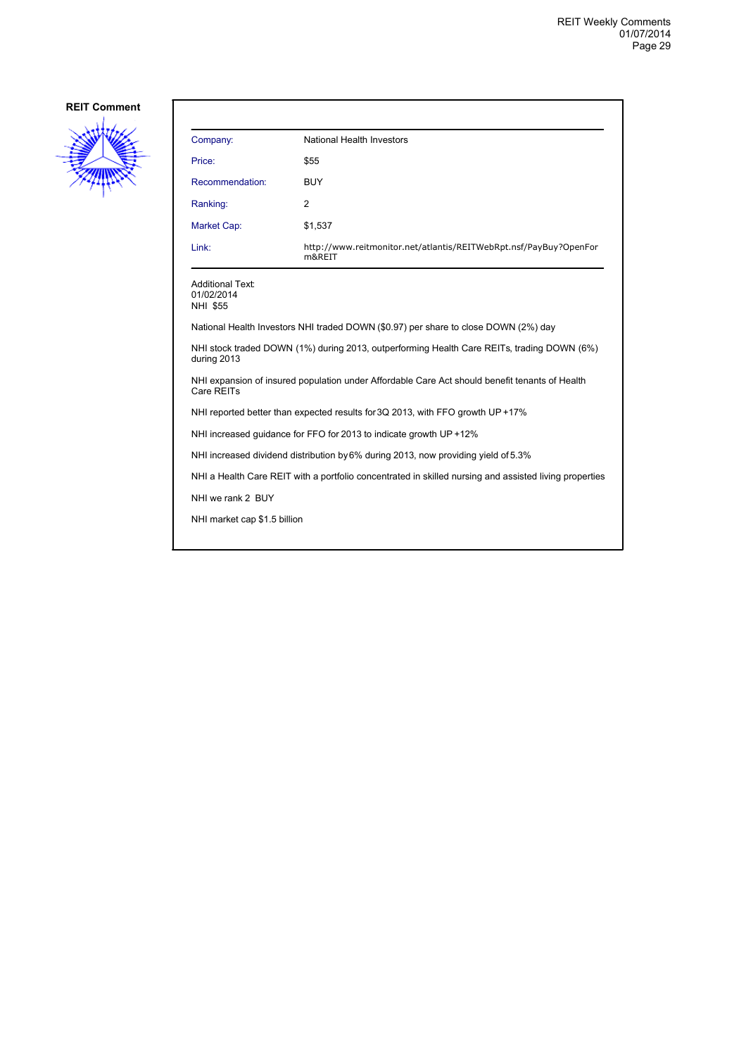![](_page_28_Picture_2.jpeg)

| Company:                                          | <b>National Health Investors</b>                                            |
|---------------------------------------------------|-----------------------------------------------------------------------------|
| Price:                                            | \$55                                                                        |
| Recommendation:                                   | <b>BUY</b>                                                                  |
| Ranking:                                          | 2                                                                           |
| Market Cap:                                       | \$1,537                                                                     |
| Link:                                             | http://www.reitmonitor.net/atlantis/REITWebRpt.nsf/PayBuy?OpenFor<br>m&REIT |
| <b>Additional Text:</b><br>01/02/2014<br>NHI \$55 |                                                                             |

National Health Investors NHI traded DOWN (\$0.97) per share to close DOWN (2%) day

NHI stock traded DOWN (1%) during 2013, outperforming Health Care REITs, trading DOWN (6%) during 2013

NHI expansion of insured population under Affordable Care Act should benefit tenants of Health Care REITs

NHI reported better than expected results for 3Q 2013, with FFO growth UP +17%

NHI increased guidance for FFO for 2013 to indicate growth UP +12%

NHI increased dividend distribution by 6% during 2013, now providing yield of 5.3%

NHI a Health Care REIT with a portfolio concentrated in skilled nursing and assisted living properties

NHI we rank 2 BUY

NHI market cap \$1.5 billion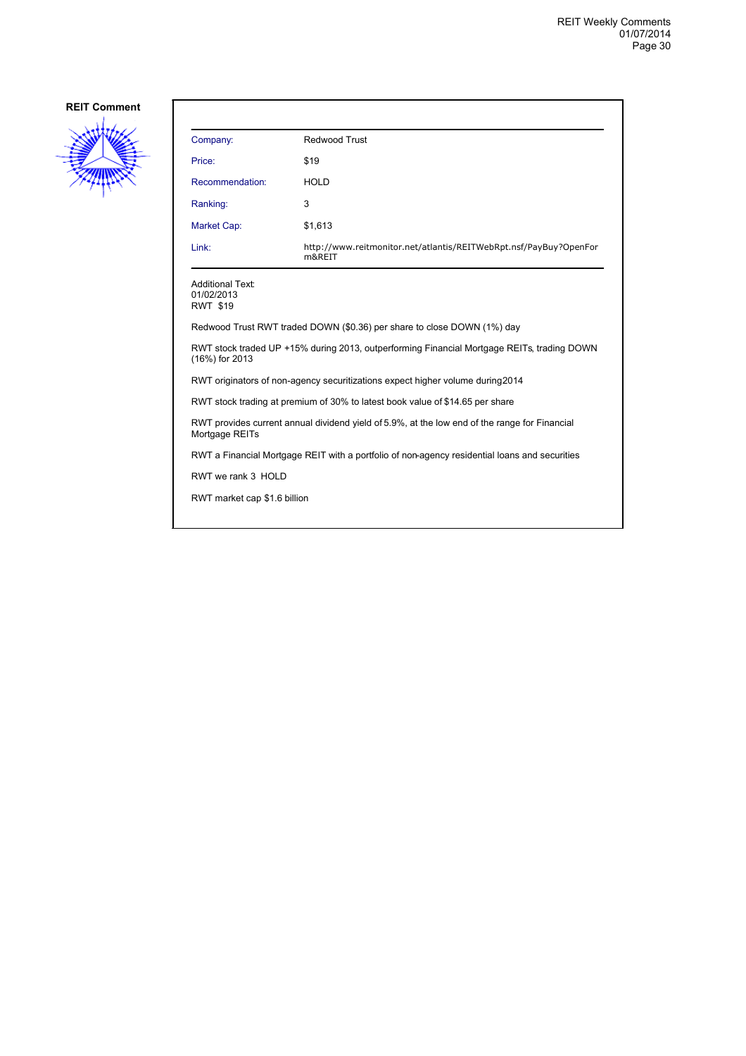![](_page_29_Picture_2.jpeg)

| Company:                                                 | Redwood Trust                                                                                 |
|----------------------------------------------------------|-----------------------------------------------------------------------------------------------|
| Price:                                                   | \$19                                                                                          |
| Recommendation:                                          | <b>HOLD</b>                                                                                   |
| Ranking:                                                 | 3                                                                                             |
| Market Cap:                                              | \$1,613                                                                                       |
| Link:                                                    | http://www.reitmonitor.net/atlantis/REITWebRpt.nsf/PayBuy?OpenFor<br>m&REIT                   |
| <b>Additional Text:</b><br>01/02/2013<br><b>RWT \$19</b> |                                                                                               |
|                                                          | Redwood Trust RWT traded DOWN (\$0.36) per share to close DOWN (1%) day                       |
| (16%) for 2013                                           | RWT stock traded UP +15% during 2013, outperforming Financial Mortgage REITs, trading DOWN    |
|                                                          | RWT originators of non-agency securitizations expect higher volume during 2014                |
|                                                          | RWT stock trading at premium of 30% to latest book value of \$14.65 per share                 |
| Mortgage REITs                                           | RWT provides current annual dividend yield of 5.9%, at the low end of the range for Financial |
|                                                          | RWT a Financial Mortgage REIT with a portfolio of non-agency residential loans and securities |
| RWT we rank 3 HOLD                                       |                                                                                               |
| RWT market cap \$1.6 billion                             |                                                                                               |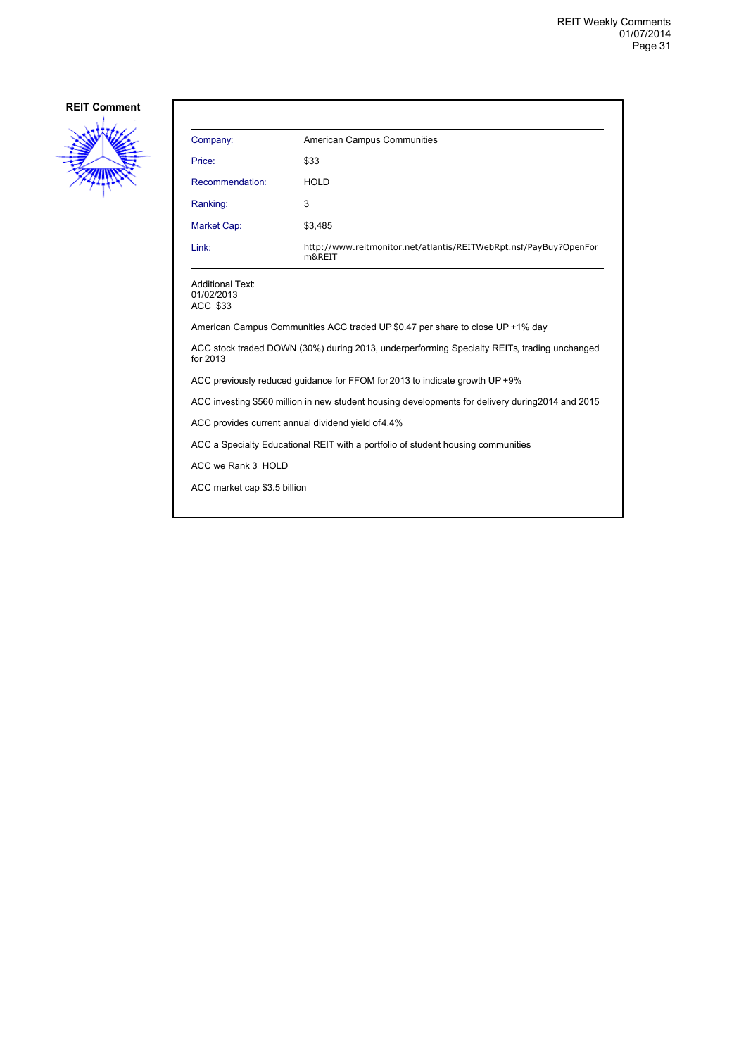![](_page_30_Picture_2.jpeg)

| Company:                                                                                                | <b>American Campus Communities</b>                                          |  |
|---------------------------------------------------------------------------------------------------------|-----------------------------------------------------------------------------|--|
| Price:                                                                                                  | \$33                                                                        |  |
| Recommendation:                                                                                         | <b>HOLD</b>                                                                 |  |
| Ranking:                                                                                                | 3                                                                           |  |
| Market Cap:                                                                                             | \$3,485                                                                     |  |
| Link:                                                                                                   | http://www.reitmonitor.net/atlantis/REITWebRpt.nsf/PayBuy?OpenFor<br>m&REIT |  |
| <b>Additional Text:</b><br>01/02/2013<br>ACC \$33                                                       |                                                                             |  |
| American Campus Communities ACC traded UP \$0.47 per share to close UP +1% day                          |                                                                             |  |
| ACC stock traded DOWN (30%) during 2013, underperforming Specialty REITs, trading unchanged<br>for 2013 |                                                                             |  |
| ACC previously reduced quidance for FFOM for 2013 to indicate growth UP+9%                              |                                                                             |  |
| ACC investing \$560 million in new student housing developments for delivery during 2014 and 2015       |                                                                             |  |
| ACC provides current annual dividend yield of 4.4%                                                      |                                                                             |  |
| ACC a Specialty Educational REIT with a portfolio of student housing communities                        |                                                                             |  |
| ACC we Rank 3 HOLD                                                                                      |                                                                             |  |
| ACC market cap \$3.5 billion                                                                            |                                                                             |  |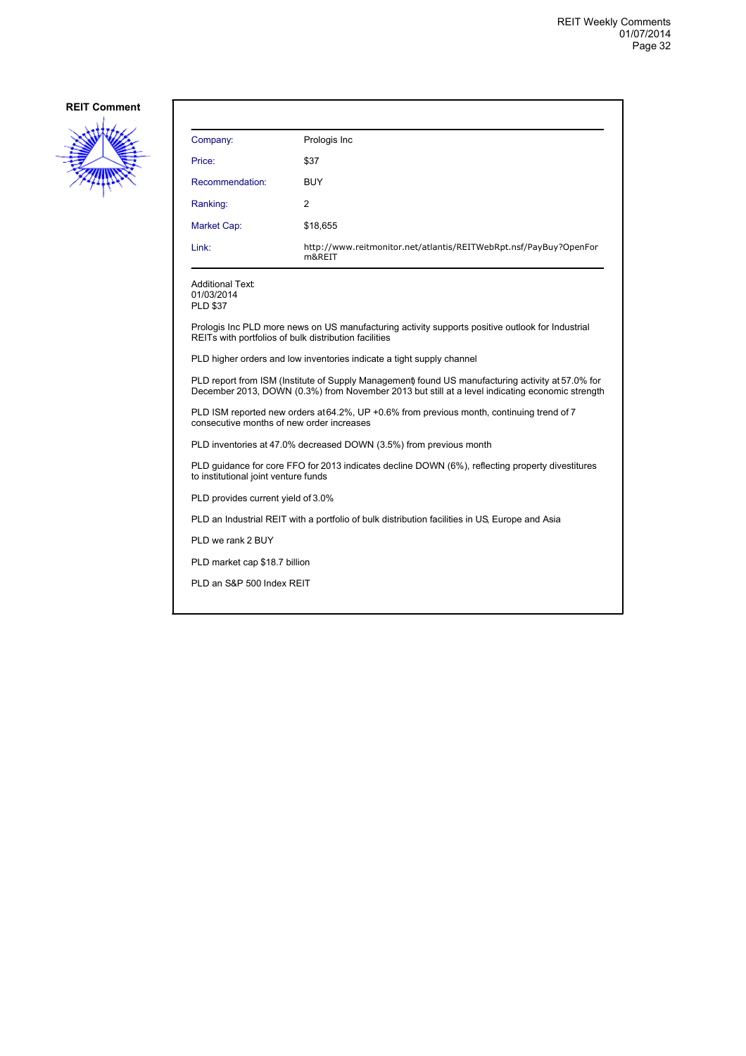![](_page_31_Picture_2.jpeg)

| Company:                                                                                                                                                                                             | Prologis Inc                                                                |  |
|------------------------------------------------------------------------------------------------------------------------------------------------------------------------------------------------------|-----------------------------------------------------------------------------|--|
| Price:                                                                                                                                                                                               | \$37                                                                        |  |
| Recommendation:                                                                                                                                                                                      | <b>BUY</b>                                                                  |  |
| Ranking:                                                                                                                                                                                             | 2                                                                           |  |
| Market Cap:                                                                                                                                                                                          | \$18,655                                                                    |  |
| Link:                                                                                                                                                                                                | http://www.reitmonitor.net/atlantis/REITWebRpt.nsf/PayBuy?OpenFor<br>m&REIT |  |
| <b>Additional Text:</b><br>01/03/2014<br><b>PLD \$37</b>                                                                                                                                             |                                                                             |  |
| Prologis Inc PLD more news on US manufacturing activity supports positive outlook for Industrial<br>REITs with portfolios of bulk distribution facilities                                            |                                                                             |  |
| PLD higher orders and low inventories indicate a tight supply channel                                                                                                                                |                                                                             |  |
| PLD report from ISM (Institute of Supply Management) found US manufacturing activity at 57.0% for<br>December 2013, DOWN (0.3%) from November 2013 but still at a level indicating economic strength |                                                                             |  |
| PLD ISM reported new orders at 64.2%, UP +0.6% from previous month, continuing trend of 7<br>consecutive months of new order increases                                                               |                                                                             |  |
| PLD inventories at 47.0% decreased DOWN (3.5%) from previous month                                                                                                                                   |                                                                             |  |
| PLD guidance for core FFO for 2013 indicates decline DOWN (6%), reflecting property divestitures<br>to institutional joint venture funds                                                             |                                                                             |  |
| PLD provides current yield of 3.0%                                                                                                                                                                   |                                                                             |  |
| PLD an Industrial REIT with a portfolio of bulk distribution facilities in US. Europe and Asia                                                                                                       |                                                                             |  |

PLD we rank 2 BUY

PLD market cap \$18.7 billion

PLD an S&P 500 Index REIT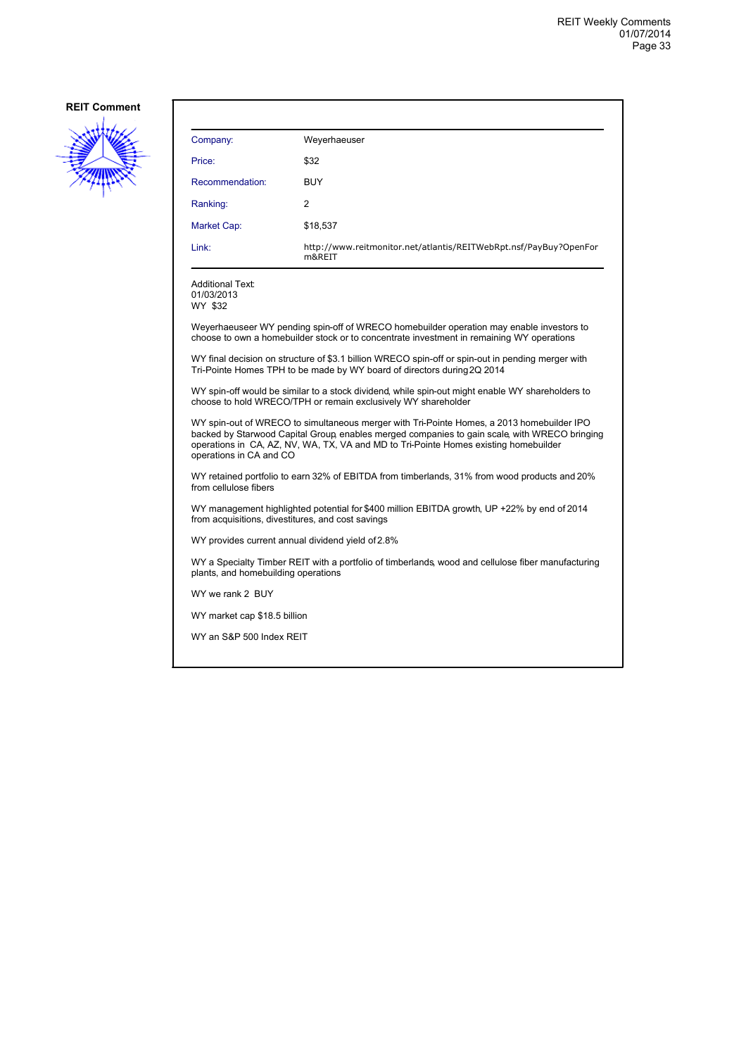![](_page_32_Picture_2.jpeg)

| Company:        | Weyerhaeuser                                                                |
|-----------------|-----------------------------------------------------------------------------|
| Price:          | \$32                                                                        |
| Recommendation: | <b>BUY</b>                                                                  |
| Ranking:        | 2                                                                           |
| Market Cap:     | \$18,537                                                                    |
| Link:           | http://www.reitmonitor.net/atlantis/REITWebRpt.nsf/PayBuy?OpenFor<br>m&REIT |

Additional Text: 01/03/2013 WY \$32

Weyerhaeuseer WY pending spin-off of WRECO homebuilder operation may enable investors to choose to own a homebuilder stock or to concentrate investment in remaining WY operations

WY final decision on structure of \$3.1 billion WRECO spin-off or spin-out in pending merger with Tri-Pointe Homes TPH to be made by WY board of directors during 2Q 2014

WY spin-off would be similar to a stock dividend, while spin-out might enable WY shareholders to choose to hold WRECO/TPH or remain exclusively WY shareholder

WY spin-out of WRECO to simultaneous merger with Tri-Pointe Homes, a 2013 homebuilder IPO backed by Starwood Capital Group, enables merged companies to gain scale, with WRECO bringing operations in CA, AZ, NV, WA, TX, VA and MD to Tri-Pointe Homes existing homebuilder operations in CA and CO

WY retained portfolio to earn 32% of EBITDA from timberlands, 31% from wood products and 20% from cellulose fibers

WY management highlighted potential for \$400 million EBITDA growth, UP +22% by end of 2014 from acquisitions, divestitures, and cost savings

WY provides current annual dividend yield of 2.8%

WY a Specialty Timber REIT with a portfolio of timberlands, wood and cellulose fiber manufacturing plants, and homebuilding operations

WY we rank 2 BUY

WY market cap \$18.5 billion

WY an S&P 500 Index REIT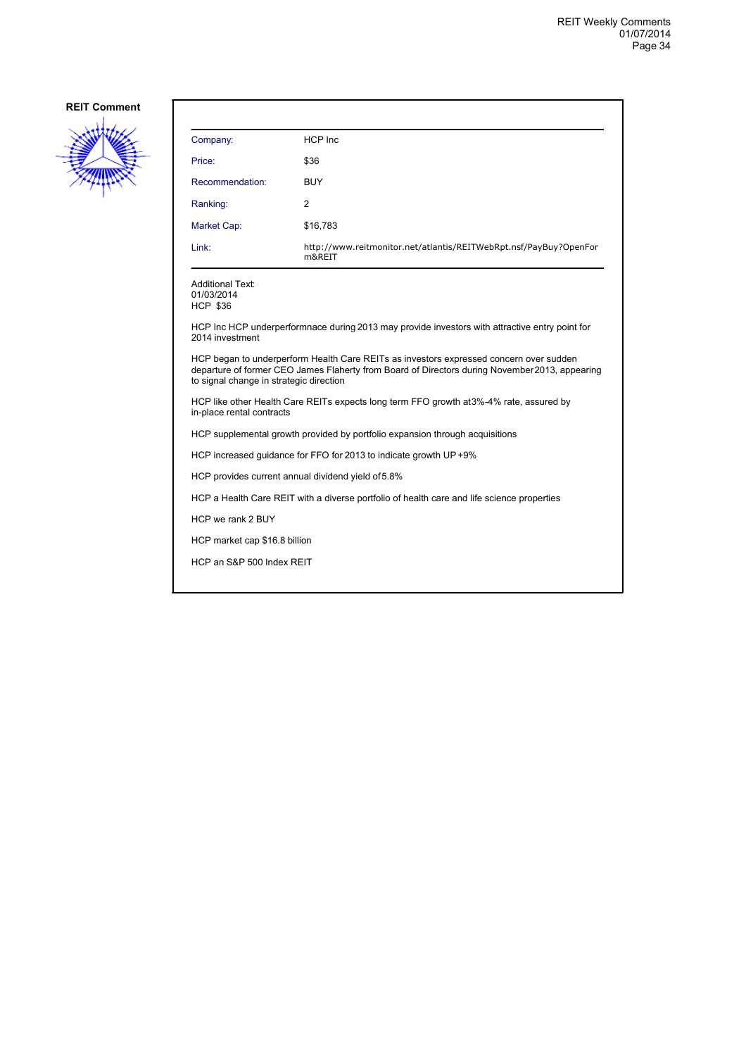![](_page_33_Picture_2.jpeg)

| Company:                                                                                                                                                                                                                            | HCP Inc                                                                     |  |
|-------------------------------------------------------------------------------------------------------------------------------------------------------------------------------------------------------------------------------------|-----------------------------------------------------------------------------|--|
| Price:                                                                                                                                                                                                                              | \$36                                                                        |  |
| Recommendation:                                                                                                                                                                                                                     | <b>BUY</b>                                                                  |  |
| Ranking:                                                                                                                                                                                                                            | 2                                                                           |  |
| <b>Market Cap:</b>                                                                                                                                                                                                                  | \$16,783                                                                    |  |
| Link:                                                                                                                                                                                                                               | http://www.reitmonitor.net/atlantis/REITWebRpt.nsf/PayBuy?OpenFor<br>m&REIT |  |
| <b>Additional Text:</b><br>01/03/2014<br><b>HCP \$36</b>                                                                                                                                                                            |                                                                             |  |
| HCP Inc HCP underperformnace during 2013 may provide investors with attractive entry point for<br>2014 investment                                                                                                                   |                                                                             |  |
| HCP began to underperform Health Care REITs as investors expressed concern over sudden<br>departure of former CEO James Flaherty from Board of Directors during November 2013, appearing<br>to signal change in strategic direction |                                                                             |  |
| HCP like other Health Care REITs expects long term FFO growth at 3%-4% rate, assured by<br>in-place rental contracts                                                                                                                |                                                                             |  |
| HCP supplemental growth provided by portfolio expansion through acquisitions                                                                                                                                                        |                                                                             |  |
|                                                                                                                                                                                                                                     | HCP increased guidance for FFO for 2013 to indicate growth UP +9%           |  |
|                                                                                                                                                                                                                                     | HCP provides current annual dividend yield of 5.8%                          |  |
| HCP a Health Care REIT with a diverse portfolio of health care and life science properties                                                                                                                                          |                                                                             |  |
| HCP we rank 2 BUY                                                                                                                                                                                                                   |                                                                             |  |
| HCP market cap \$16.8 billion                                                                                                                                                                                                       |                                                                             |  |
| HCP an S&P 500 Index REIT                                                                                                                                                                                                           |                                                                             |  |
|                                                                                                                                                                                                                                     |                                                                             |  |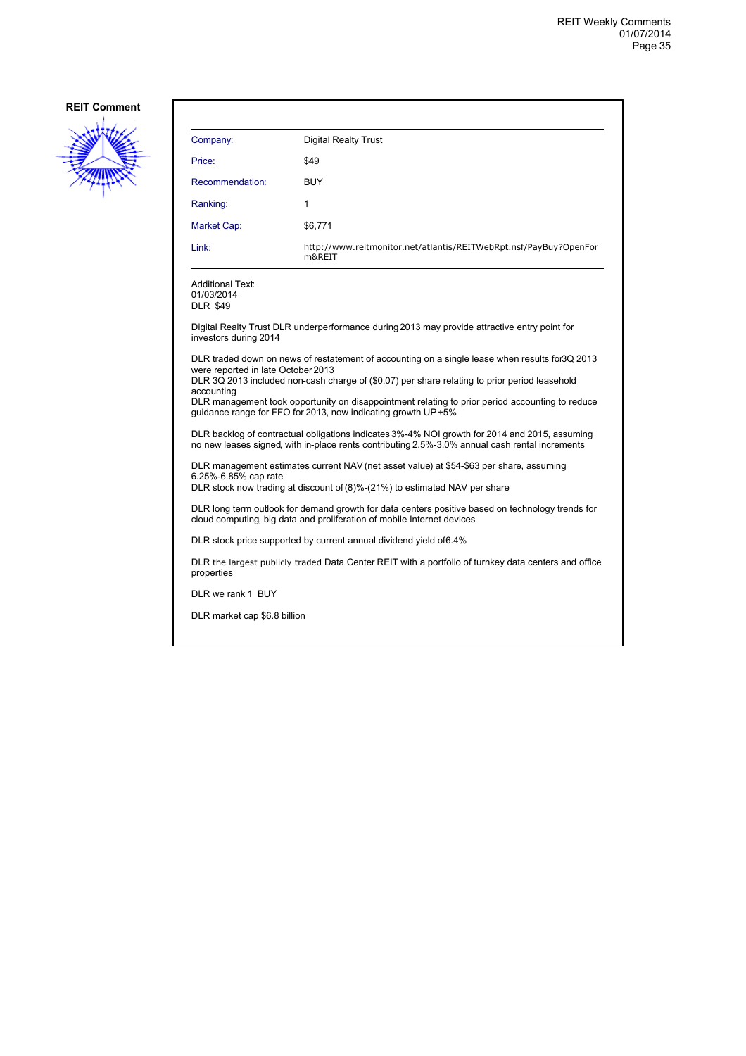![](_page_34_Picture_2.jpeg)

| Company:                                                                                                                                                                                                                                             | <b>Digital Realty Trust</b>                                                                  |  |  |
|------------------------------------------------------------------------------------------------------------------------------------------------------------------------------------------------------------------------------------------------------|----------------------------------------------------------------------------------------------|--|--|
| Price:                                                                                                                                                                                                                                               | \$49                                                                                         |  |  |
| Recommendation:                                                                                                                                                                                                                                      | <b>BUY</b>                                                                                   |  |  |
| Ranking:                                                                                                                                                                                                                                             | 1                                                                                            |  |  |
| Market Cap:                                                                                                                                                                                                                                          | \$6,771                                                                                      |  |  |
| Link:                                                                                                                                                                                                                                                | http://www.reitmonitor.net/atlantis/REITWebRpt.nsf/PayBuy?OpenFor<br>m&REIT                  |  |  |
| <b>Additional Text:</b><br>01/03/2014<br><b>DLR \$49</b>                                                                                                                                                                                             |                                                                                              |  |  |
| investors during 2014                                                                                                                                                                                                                                | Digital Realty Trust DLR underperformance during 2013 may provide attractive entry point for |  |  |
| DLR traded down on news of restatement of accounting on a single lease when results for 3Q 2013<br>were reported in late October 2013<br>DLR 3Q 2013 included non-cash charge of (\$0.07) per share relating to prior period leasehold<br>accounting |                                                                                              |  |  |
| DLR management took opportunity on disappointment relating to prior period accounting to reduce<br>guidance range for FFO for 2013, now indicating growth UP+5%                                                                                      |                                                                                              |  |  |
| DLR backlog of contractual obligations indicates 3%-4% NOI growth for 2014 and 2015, assuming<br>no new leases signed, with in-place rents contributing 2.5%-3.0% annual cash rental increments                                                      |                                                                                              |  |  |
| DLR management estimates current NAV (net asset value) at \$54-\$63 per share, assuming<br>6.25%-6.85% cap rate<br>DLR stock now trading at discount of (8)%-(21%) to estimated NAV per share                                                        |                                                                                              |  |  |
| DLR long term outlook for demand growth for data centers positive based on technology trends for<br>cloud computing, big data and proliferation of mobile Internet devices                                                                           |                                                                                              |  |  |
|                                                                                                                                                                                                                                                      | DLR stock price supported by current annual dividend yield of 6.4%                           |  |  |
| DLR the largest publicly traded Data Center REIT with a portfolio of turnkey data centers and office<br>properties                                                                                                                                   |                                                                                              |  |  |
| DLR we rank 1 BUY                                                                                                                                                                                                                                    |                                                                                              |  |  |
| DLR market cap \$6.8 billion                                                                                                                                                                                                                         |                                                                                              |  |  |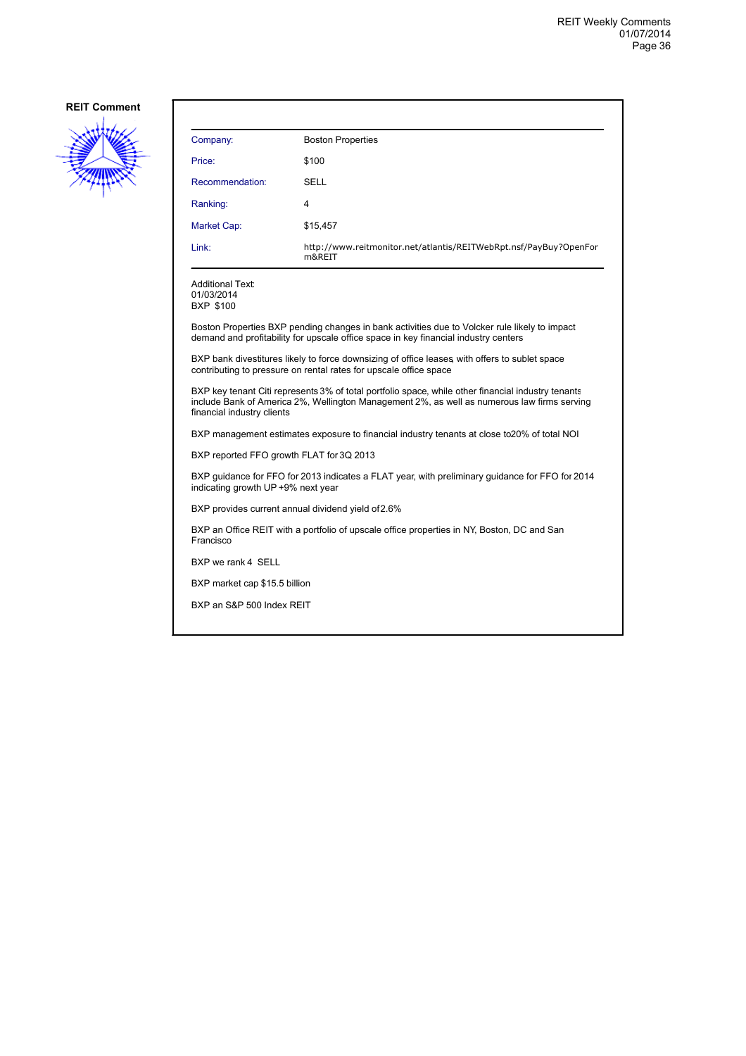![](_page_35_Picture_2.jpeg)

| Company:                                                                                                | <b>Boston Properties</b>                                                                                                                                                                          |  |
|---------------------------------------------------------------------------------------------------------|---------------------------------------------------------------------------------------------------------------------------------------------------------------------------------------------------|--|
| Price:                                                                                                  | \$100                                                                                                                                                                                             |  |
| Recommendation:                                                                                         | SELL                                                                                                                                                                                              |  |
| Ranking:                                                                                                | 4                                                                                                                                                                                                 |  |
| Market Cap:                                                                                             | \$15,457                                                                                                                                                                                          |  |
| Link:                                                                                                   | http://www.reitmonitor.net/atlantis/REITWebRpt.nsf/PayBuy?OpenFor<br>m&REIT                                                                                                                       |  |
| <b>Additional Text:</b><br>01/03/2014<br><b>BXP \$100</b>                                               |                                                                                                                                                                                                   |  |
|                                                                                                         | Boston Properties BXP pending changes in bank activities due to Volcker rule likely to impact<br>demand and profitability for upscale office space in key financial industry centers              |  |
|                                                                                                         | BXP bank divestitures likely to force downsizing of office leases, with offers to sublet space<br>contributing to pressure on rental rates for upscale office space                               |  |
| financial industry clients                                                                              | BXP key tenant Citi represents 3% of total portfolio space, while other financial industry tenants<br>include Bank of America 2%, Wellington Management 2%, as well as numerous law firms serving |  |
| BXP management estimates exposure to financial industry tenants at close to 20% of total NOI            |                                                                                                                                                                                                   |  |
| BXP reported FFO growth FLAT for 3Q 2013                                                                |                                                                                                                                                                                                   |  |
| indicating growth UP +9% next year                                                                      | BXP guidance for FFO for 2013 indicates a FLAT year, with preliminary guidance for FFO for 2014                                                                                                   |  |
| BXP provides current annual dividend yield of 2.6%                                                      |                                                                                                                                                                                                   |  |
| BXP an Office REIT with a portfolio of upscale office properties in NY, Boston, DC and San<br>Francisco |                                                                                                                                                                                                   |  |
| BXP we rank 4 SELL                                                                                      |                                                                                                                                                                                                   |  |
| BXP market cap \$15.5 billion                                                                           |                                                                                                                                                                                                   |  |
| BXP an S&P 500 Index REIT                                                                               |                                                                                                                                                                                                   |  |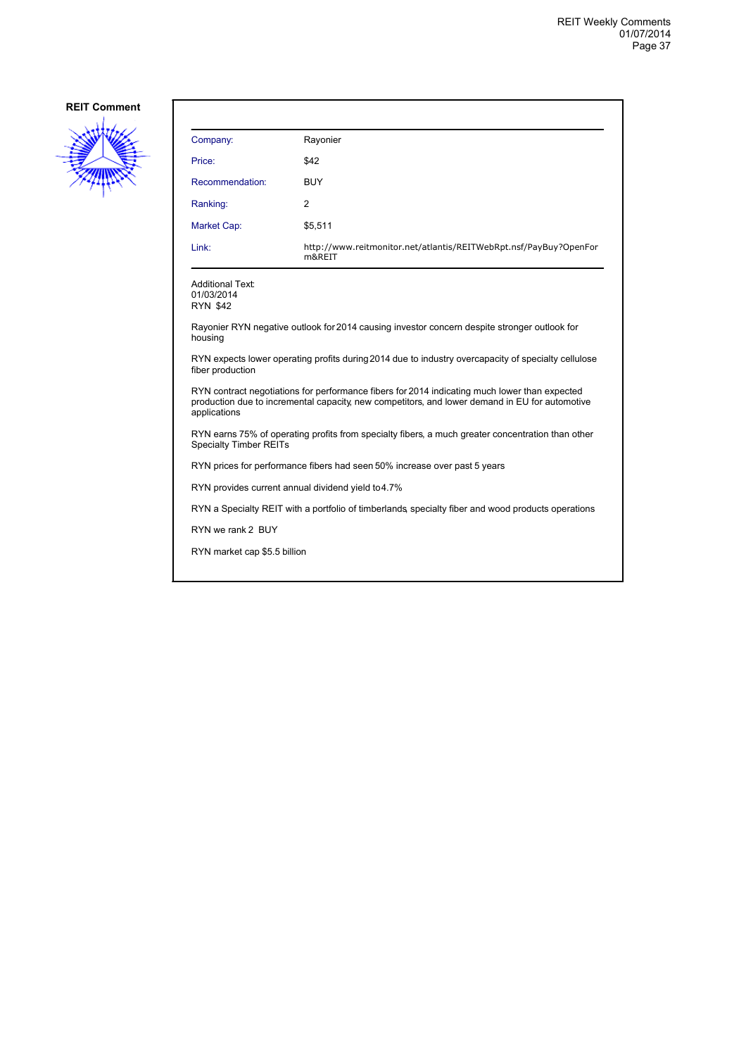![](_page_36_Picture_2.jpeg)

| Company:                                                                                                                                                                                                        | Rayonier                                                                    |  |
|-----------------------------------------------------------------------------------------------------------------------------------------------------------------------------------------------------------------|-----------------------------------------------------------------------------|--|
| Price:                                                                                                                                                                                                          | \$42                                                                        |  |
| Recommendation:                                                                                                                                                                                                 | <b>BUY</b>                                                                  |  |
| Ranking:                                                                                                                                                                                                        | $\overline{2}$                                                              |  |
| Market Cap:                                                                                                                                                                                                     | \$5,511                                                                     |  |
| Link:                                                                                                                                                                                                           | http://www.reitmonitor.net/atlantis/REITWebRpt.nsf/PayBuy?OpenFor<br>m&REIT |  |
| <b>Additional Text:</b><br>01/03/2014<br><b>RYN \$42</b>                                                                                                                                                        |                                                                             |  |
| Rayonier RYN negative outlook for 2014 causing investor concern despite stronger outlook for<br>housing                                                                                                         |                                                                             |  |
| RYN expects lower operating profits during 2014 due to industry overcapacity of specialty cellulose<br>fiber production                                                                                         |                                                                             |  |
| RYN contract negotiations for performance fibers for 2014 indicating much lower than expected<br>production due to incremental capacity, new competitors, and lower demand in EU for automotive<br>applications |                                                                             |  |
| RYN earns 75% of operating profits from specialty fibers, a much greater concentration than other<br><b>Specialty Timber REITs</b>                                                                              |                                                                             |  |
| RYN prices for performance fibers had seen 50% increase over past 5 years                                                                                                                                       |                                                                             |  |
| RYN provides current annual dividend yield to 4.7%                                                                                                                                                              |                                                                             |  |
| RYN a Specialty REIT with a portfolio of timberlands, specialty fiber and wood products operations                                                                                                              |                                                                             |  |
| RYN we rank 2 BUY                                                                                                                                                                                               |                                                                             |  |
| RYN market cap \$5.5 billion                                                                                                                                                                                    |                                                                             |  |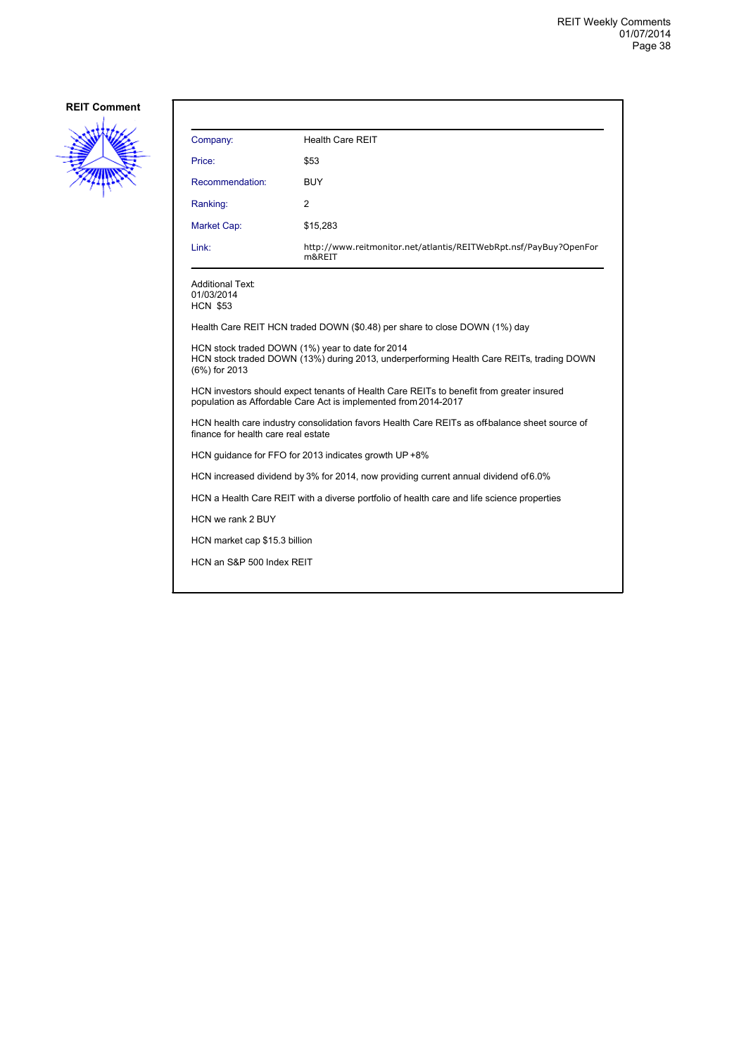![](_page_37_Picture_2.jpeg)

| Company:                                                                                                                                                      | <b>Health Care REIT</b>                                                     |  |
|---------------------------------------------------------------------------------------------------------------------------------------------------------------|-----------------------------------------------------------------------------|--|
| Price:                                                                                                                                                        | \$53                                                                        |  |
| Recommendation:                                                                                                                                               | <b>BUY</b>                                                                  |  |
| Ranking:                                                                                                                                                      | 2                                                                           |  |
| Market Cap:                                                                                                                                                   | \$15,283                                                                    |  |
| Link:                                                                                                                                                         | http://www.reitmonitor.net/atlantis/REITWebRpt.nsf/PayBuy?OpenFor<br>m&REIT |  |
| <b>Additional Text:</b><br>01/03/2014<br><b>HCN \$53</b>                                                                                                      |                                                                             |  |
|                                                                                                                                                               | Health Care REIT HCN traded DOWN (\$0.48) per share to close DOWN (1%) day  |  |
| HCN stock traded DOWN (1%) year to date for 2014<br>HCN stock traded DOWN (13%) during 2013, underperforming Health Care REITs, trading DOWN<br>(6%) for 2013 |                                                                             |  |
| HCN investors should expect tenants of Health Care REITs to benefit from greater insured<br>population as Affordable Care Act is implemented from 2014-2017   |                                                                             |  |
| HCN health care industry consolidation favors Health Care REITs as off-balance sheet source of<br>finance for health care real estate                         |                                                                             |  |
| HCN guidance for FFO for 2013 indicates growth UP +8%                                                                                                         |                                                                             |  |
| HCN increased dividend by 3% for 2014, now providing current annual dividend of 6.0%                                                                          |                                                                             |  |
| HCN a Health Care REIT with a diverse portfolio of health care and life science properties                                                                    |                                                                             |  |
| HCN we rank 2 BUY                                                                                                                                             |                                                                             |  |
| HCN market cap \$15.3 billion                                                                                                                                 |                                                                             |  |
| HCN an S&P 500 Index REIT                                                                                                                                     |                                                                             |  |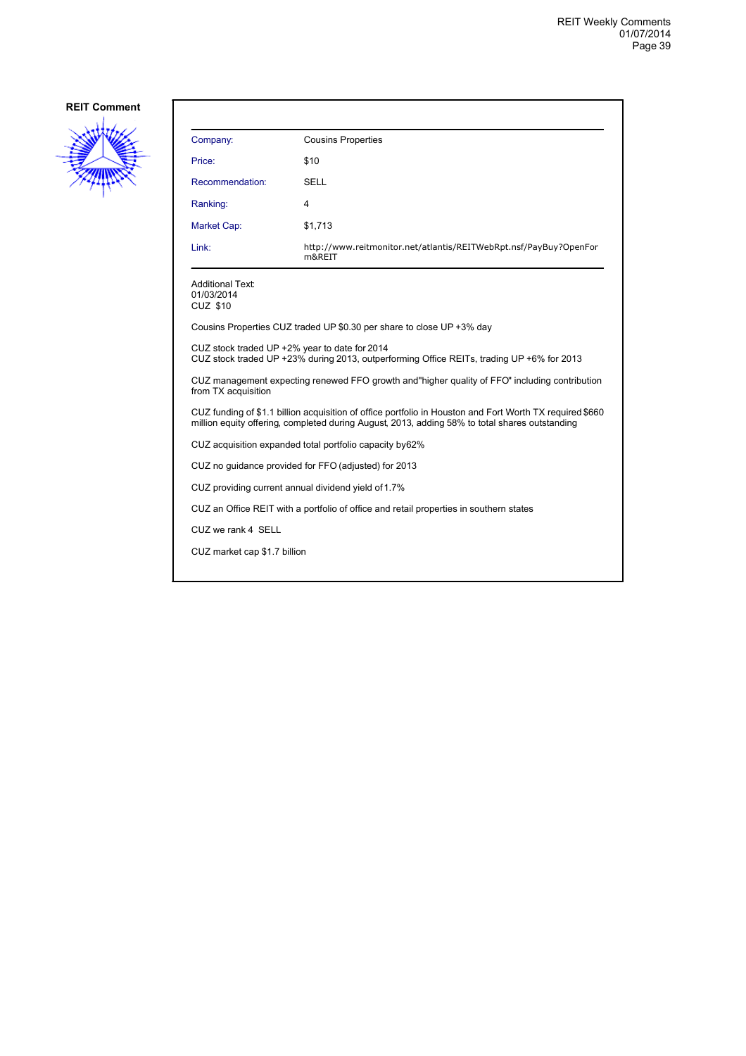![](_page_38_Picture_2.jpeg)

| Company:                                                                                                                                                                                                   | <b>Cousins Properties</b>                                                   |  |
|------------------------------------------------------------------------------------------------------------------------------------------------------------------------------------------------------------|-----------------------------------------------------------------------------|--|
| Price:                                                                                                                                                                                                     | \$10                                                                        |  |
| Recommendation:                                                                                                                                                                                            | SELL                                                                        |  |
| Ranking:                                                                                                                                                                                                   | 4                                                                           |  |
| Market Cap:                                                                                                                                                                                                | \$1,713                                                                     |  |
| Link:                                                                                                                                                                                                      | http://www.reitmonitor.net/atlantis/REITWebRpt.nsf/PayBuy?OpenFor<br>m&REIT |  |
| <b>Additional Text:</b><br>01/03/2014<br><b>CUZ \$10</b>                                                                                                                                                   |                                                                             |  |
|                                                                                                                                                                                                            | Cousins Properties CUZ traded UP \$0.30 per share to close UP +3% day       |  |
| CUZ stock traded UP +2% year to date for 2014<br>CUZ stock traded UP +23% during 2013, outperforming Office REITs, trading UP +6% for 2013                                                                 |                                                                             |  |
| CUZ management expecting renewed FFO growth and "higher guality of FFO" including contribution<br>from TX acquisition                                                                                      |                                                                             |  |
| CUZ funding of \$1.1 billion acquisition of office portfolio in Houston and Fort Worth TX required \$660<br>million equity offering, completed during August, 2013, adding 58% to total shares outstanding |                                                                             |  |
|                                                                                                                                                                                                            | CUZ acquisition expanded total portfolio capacity by 62%                    |  |
|                                                                                                                                                                                                            | CUZ no guidance provided for FFO (adjusted) for 2013                        |  |
| CUZ providing current annual dividend yield of 1.7%                                                                                                                                                        |                                                                             |  |
| CUZ an Office REIT with a portfolio of office and retail properties in southern states                                                                                                                     |                                                                             |  |
| CUZ we rank 4 SELL                                                                                                                                                                                         |                                                                             |  |
| CUZ market cap \$1.7 billion                                                                                                                                                                               |                                                                             |  |
|                                                                                                                                                                                                            |                                                                             |  |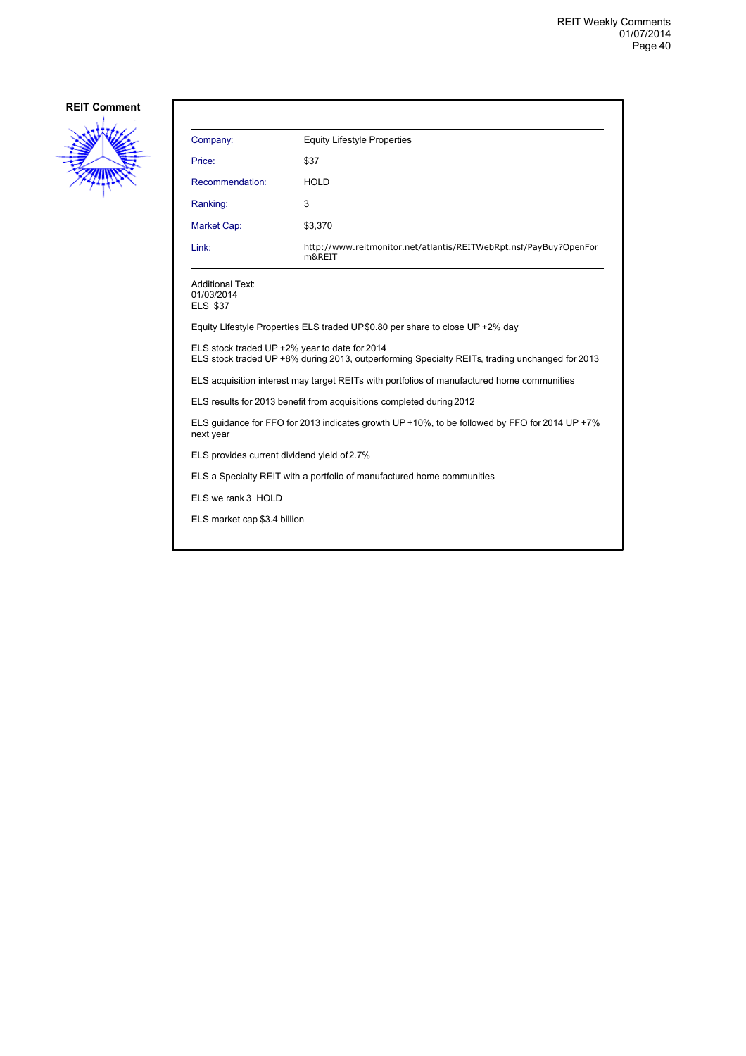![](_page_39_Picture_2.jpeg)

| Company:                                                 | <b>Equity Lifestyle Properties</b>                                          |
|----------------------------------------------------------|-----------------------------------------------------------------------------|
| Price:                                                   | \$37                                                                        |
| Recommendation:                                          | <b>HOLD</b>                                                                 |
| Ranking:                                                 | 3                                                                           |
| <b>Market Cap:</b>                                       | \$3,370                                                                     |
| Link:                                                    | http://www.reitmonitor.net/atlantis/REITWebRpt.nsf/PayBuy?OpenFor<br>m&REIT |
| <b>Additional Text:</b><br>01/03/2014<br><b>ELS \$37</b> |                                                                             |

Equity Lifestyle Properties ELS traded UP \$0.80 per share to close UP +2% day

ELS stock traded UP +2% year to date for 2014

ELS stock traded UP +8% during 2013, outperforming Specialty REITs, trading unchanged for 2013

ELS acquisition interest may target REITs with portfolios of manufactured home communities

ELS results for 2013 benefit from acquisitions completed during 2012

ELS guidance for FFO for 2013 indicates growth UP +10%, to be followed by FFO for 2014 UP +7% next year

ELS provides current dividend yield of 2.7%

ELS a Specialty REIT with a portfolio of manufactured home communities

ELS we rank 3 HOLD

ELS market cap \$3.4 billion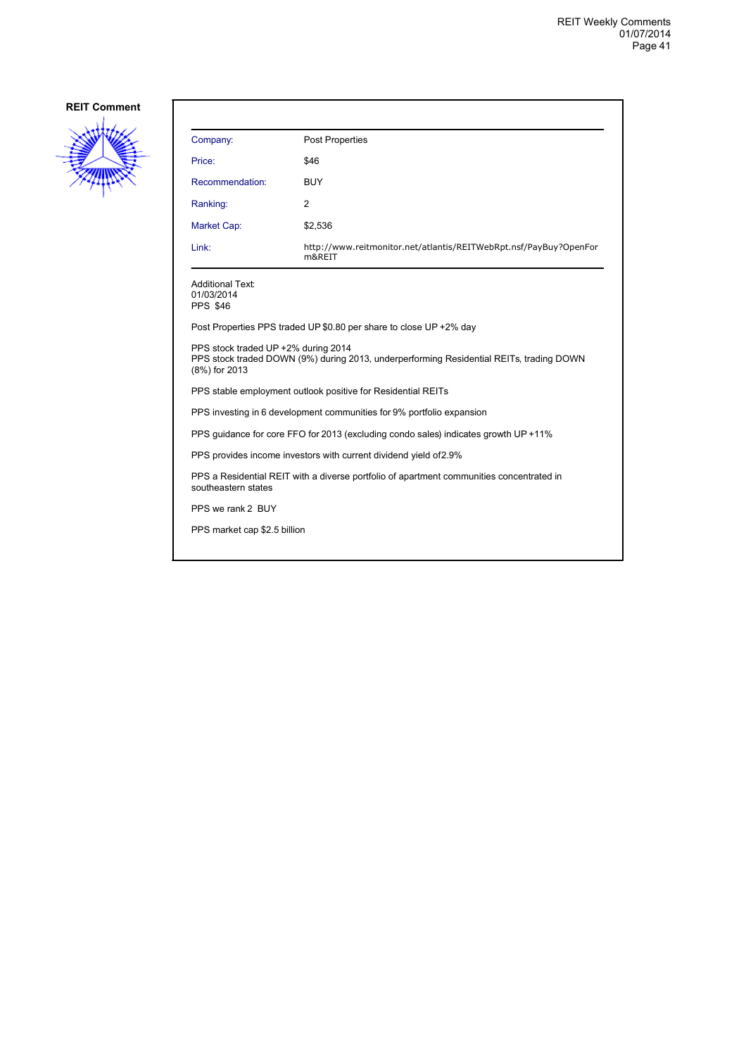![](_page_40_Picture_2.jpeg)

| Company:                                                                                                                                        | Post Properties                                                             |  |  |
|-------------------------------------------------------------------------------------------------------------------------------------------------|-----------------------------------------------------------------------------|--|--|
| Price:                                                                                                                                          | \$46                                                                        |  |  |
| Recommendation:                                                                                                                                 | BUY                                                                         |  |  |
| Ranking:                                                                                                                                        | 2                                                                           |  |  |
| <b>Market Cap:</b>                                                                                                                              | \$2,536                                                                     |  |  |
| Link:                                                                                                                                           | http://www.reitmonitor.net/atlantis/REITWebRpt.nsf/PayBuy?OpenFor<br>m&REIT |  |  |
| <b>Additional Text:</b><br>01/03/2014<br><b>PPS \$46</b>                                                                                        |                                                                             |  |  |
| Post Properties PPS traded UP \$0.80 per share to close UP +2% day                                                                              |                                                                             |  |  |
| PPS stock traded UP +2% during 2014<br>PPS stock traded DOWN (9%) during 2013, underperforming Residential REITs, trading DOWN<br>(8%) for 2013 |                                                                             |  |  |
| PPS stable employment outlook positive for Residential REITs                                                                                    |                                                                             |  |  |
| PPS investing in 6 development communities for 9% portfolio expansion                                                                           |                                                                             |  |  |
| PPS guidance for core FFO for 2013 (excluding condo sales) indicates growth UP +11%                                                             |                                                                             |  |  |
| PPS provides income investors with current dividend yield of 2.9%                                                                               |                                                                             |  |  |
| PPS a Residential REIT with a diverse portfolio of apartment communities concentrated in<br>southeastern states                                 |                                                                             |  |  |
| PPS we rank 2 BUY                                                                                                                               |                                                                             |  |  |
| PPS market cap \$2.5 billion                                                                                                                    |                                                                             |  |  |